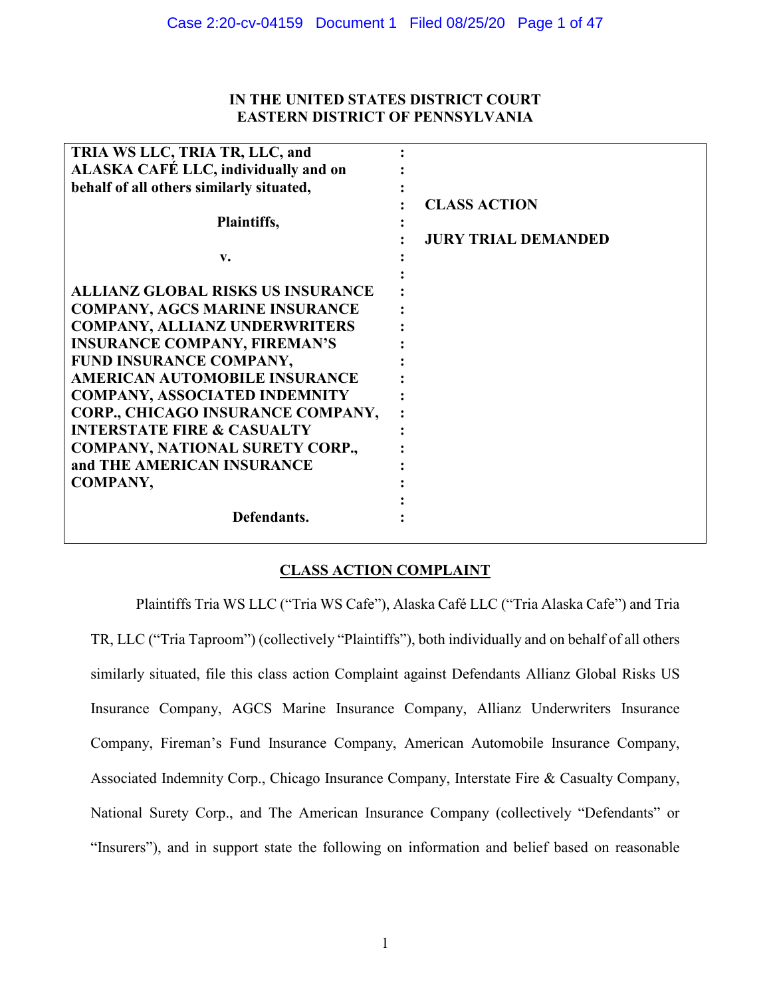# **IN THE UNITED STATES DISTRICT COURT EASTERN DISTRICT OF PENNSYLVANIA**

| TRIA WS LLC, TRIA TR, LLC, and           |                            |
|------------------------------------------|----------------------------|
| ALASKA CAFÉ LLC, individually and on     |                            |
| behalf of all others similarly situated, |                            |
|                                          | <b>CLASS ACTION</b>        |
| Plaintiffs,                              |                            |
|                                          | <b>JURY TRIAL DEMANDED</b> |
| v.                                       |                            |
|                                          |                            |
| <b>ALLIANZ GLOBAL RISKS US INSURANCE</b> |                            |
| <b>COMPANY, AGCS MARINE INSURANCE</b>    |                            |
| <b>COMPANY, ALLIANZ UNDERWRITERS</b>     |                            |
| <b>INSURANCE COMPANY, FIREMAN'S</b>      |                            |
| FUND INSURANCE COMPANY,                  |                            |
| <b>AMERICAN AUTOMOBILE INSURANCE</b>     |                            |
| <b>COMPANY, ASSOCIATED INDEMNITY</b>     |                            |
| CORP., CHICAGO INSURANCE COMPANY,        |                            |
| <b>INTERSTATE FIRE &amp; CASUALTY</b>    |                            |
| <b>COMPANY, NATIONAL SURETY CORP.,</b>   |                            |
| and THE AMERICAN INSURANCE               |                            |
| <b>COMPANY,</b>                          |                            |
|                                          |                            |
| Defendants.                              |                            |
|                                          |                            |

# **CLASS ACTION COMPLAINT**

Plaintiffs Tria WS LLC ("Tria WS Cafe"), Alaska Café LLC ("Tria Alaska Cafe") and Tria TR, LLC ("Tria Taproom") (collectively "Plaintiffs"), both individually and on behalf of all others similarly situated, file this class action Complaint against Defendants Allianz Global Risks US Insurance Company, AGCS Marine Insurance Company, Allianz Underwriters Insurance Company, Fireman's Fund Insurance Company, American Automobile Insurance Company, Associated Indemnity Corp., Chicago Insurance Company, Interstate Fire & Casualty Company, National Surety Corp., and The American Insurance Company (collectively "Defendants" or "Insurers"), and in support state the following on information and belief based on reasonable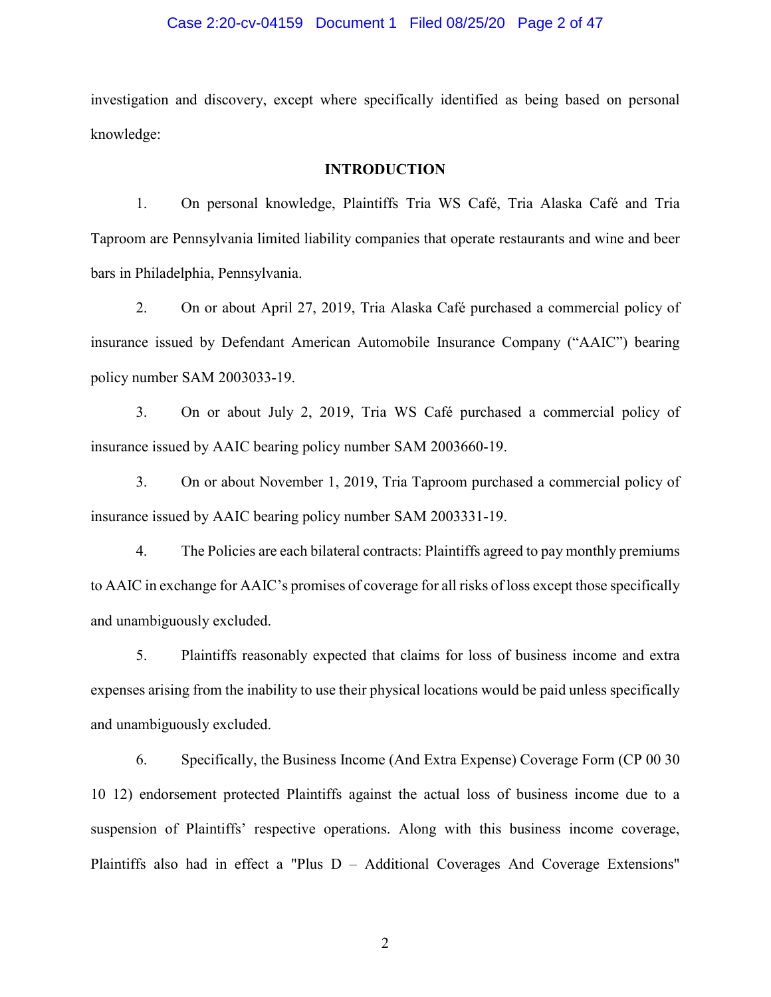#### Case 2:20-cv-04159 Document 1 Filed 08/25/20 Page 2 of 47

investigation and discovery, except where specifically identified as being based on personal knowledge:

### **INTRODUCTION**

1. On personal knowledge, Plaintiffs Tria WS Café, Tria Alaska Café and Tria Taproom are Pennsylvania limited liability companies that operate restaurants and wine and beer bars in Philadelphia, Pennsylvania.

2. On or about April 27, 2019, Tria Alaska Café purchased a commercial policy of insurance issued by Defendant American Automobile Insurance Company ("AAIC") bearing policy number SAM 2003033-19.

3. On or about July 2, 2019, Tria WS Café purchased a commercial policy of insurance issued by AAIC bearing policy number SAM 2003660-19.

3. On or about November 1, 2019, Tria Taproom purchased a commercial policy of insurance issued by AAIC bearing policy number SAM 2003331-19.

4. The Policies are each bilateral contracts: Plaintiffs agreed to pay monthly premiums to AAIC in exchange for AAIC's promises of coverage for all risks of loss except those specifically and unambiguously excluded.

5. Plaintiffs reasonably expected that claims for loss of business income and extra expenses arising from the inability to use their physical locations would be paid unless specifically and unambiguously excluded.

6. Specifically, the Business Income (And Extra Expense) Coverage Form (CP 00 30 10 12) endorsement protected Plaintiffs against the actual loss of business income due to a suspension of Plaintiffs' respective operations. Along with this business income coverage, Plaintiffs also had in effect a "Plus D – Additional Coverages And Coverage Extensions"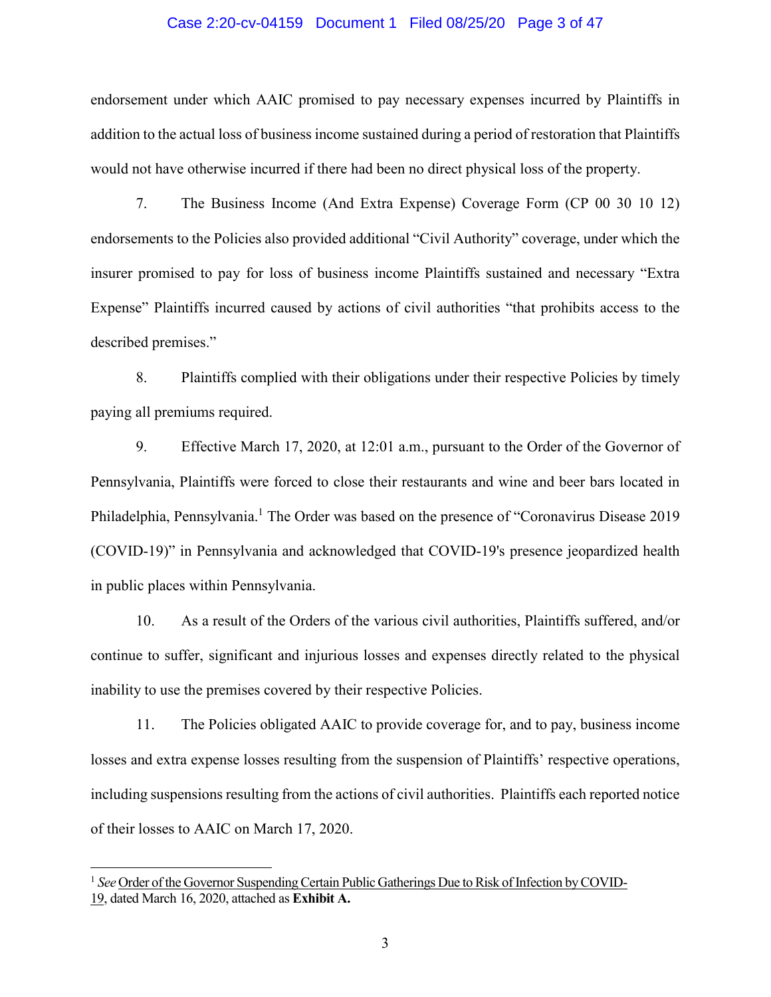#### Case 2:20-cv-04159 Document 1 Filed 08/25/20 Page 3 of 47

endorsement under which AAIC promised to pay necessary expenses incurred by Plaintiffs in addition to the actual loss of business income sustained during a period of restoration that Plaintiffs would not have otherwise incurred if there had been no direct physical loss of the property.

7. The Business Income (And Extra Expense) Coverage Form (CP 00 30 10 12) endorsements to the Policies also provided additional "Civil Authority" coverage, under which the insurer promised to pay for loss of business income Plaintiffs sustained and necessary "Extra Expense" Plaintiffs incurred caused by actions of civil authorities "that prohibits access to the described premises."

8. Plaintiffs complied with their obligations under their respective Policies by timely paying all premiums required.

9. Effective March 17, 2020, at 12:01 a.m., pursuant to the Order of the Governor of Pennsylvania, Plaintiffs were forced to close their restaurants and wine and beer bars located in Philadelphia, Pennsylvania.<sup>1</sup> The Order was based on the presence of "Coronavirus Disease 2019 (COVID-19)" in Pennsylvania and acknowledged that COVID-19's presence jeopardized health in public places within Pennsylvania.

10. As a result of the Orders of the various civil authorities, Plaintiffs suffered, and/or continue to suffer, significant and injurious losses and expenses directly related to the physical inability to use the premises covered by their respective Policies.

11. The Policies obligated AAIC to provide coverage for, and to pay, business income losses and extra expense losses resulting from the suspension of Plaintiffs' respective operations, including suspensions resulting from the actions of civil authorities. Plaintiffs each reported notice of their losses to AAIC on March 17, 2020.

<sup>&</sup>lt;sup>1</sup> See Order of the Governor Suspending Certain Public Gatherings Due to Risk of Infection by COVID-19, dated March 16, 2020, attached as **Exhibit A.**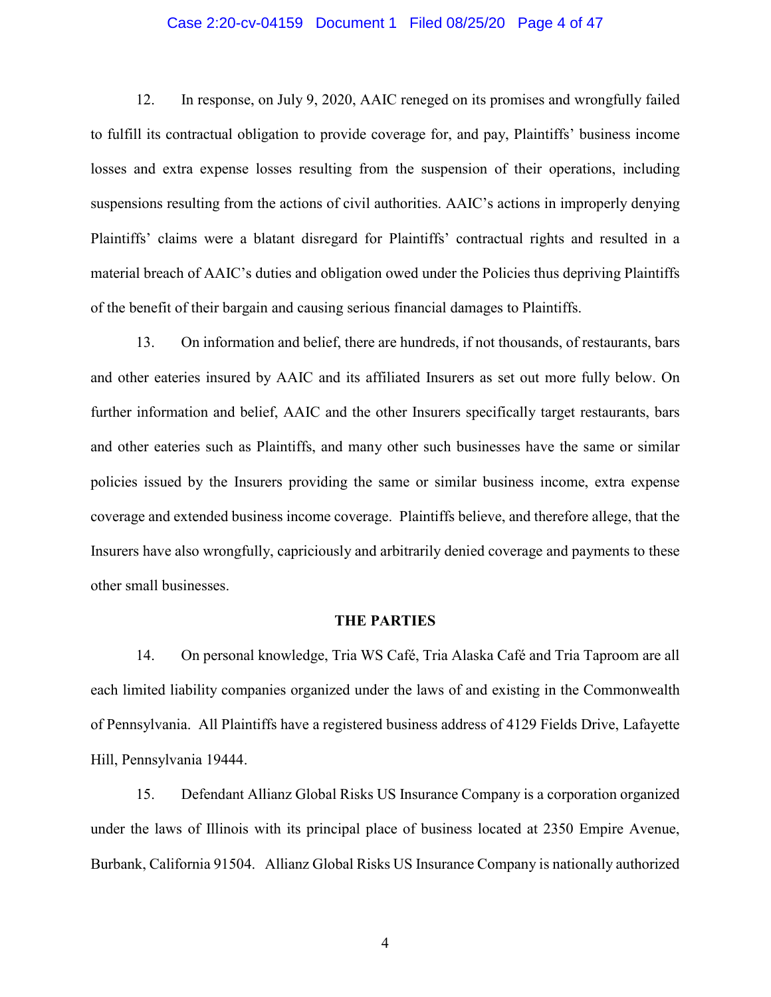#### Case 2:20-cv-04159 Document 1 Filed 08/25/20 Page 4 of 47

12. In response, on July 9, 2020, AAIC reneged on its promises and wrongfully failed to fulfill its contractual obligation to provide coverage for, and pay, Plaintiffs' business income losses and extra expense losses resulting from the suspension of their operations, including suspensions resulting from the actions of civil authorities. AAIC's actions in improperly denying Plaintiffs' claims were a blatant disregard for Plaintiffs' contractual rights and resulted in a material breach of AAIC's duties and obligation owed under the Policies thus depriving Plaintiffs of the benefit of their bargain and causing serious financial damages to Plaintiffs.

13. On information and belief, there are hundreds, if not thousands, of restaurants, bars and other eateries insured by AAIC and its affiliated Insurers as set out more fully below. On further information and belief, AAIC and the other Insurers specifically target restaurants, bars and other eateries such as Plaintiffs, and many other such businesses have the same or similar policies issued by the Insurers providing the same or similar business income, extra expense coverage and extended business income coverage. Plaintiffs believe, and therefore allege, that the Insurers have also wrongfully, capriciously and arbitrarily denied coverage and payments to these other small businesses.

#### **THE PARTIES**

14. On personal knowledge, Tria WS Café, Tria Alaska Café and Tria Taproom are all each limited liability companies organized under the laws of and existing in the Commonwealth of Pennsylvania. All Plaintiffs have a registered business address of 4129 Fields Drive, Lafayette Hill, Pennsylvania 19444.

15. Defendant Allianz Global Risks US Insurance Company is a corporation organized under the laws of Illinois with its principal place of business located at 2350 Empire Avenue, Burbank, California 91504. Allianz Global Risks US Insurance Company is nationally authorized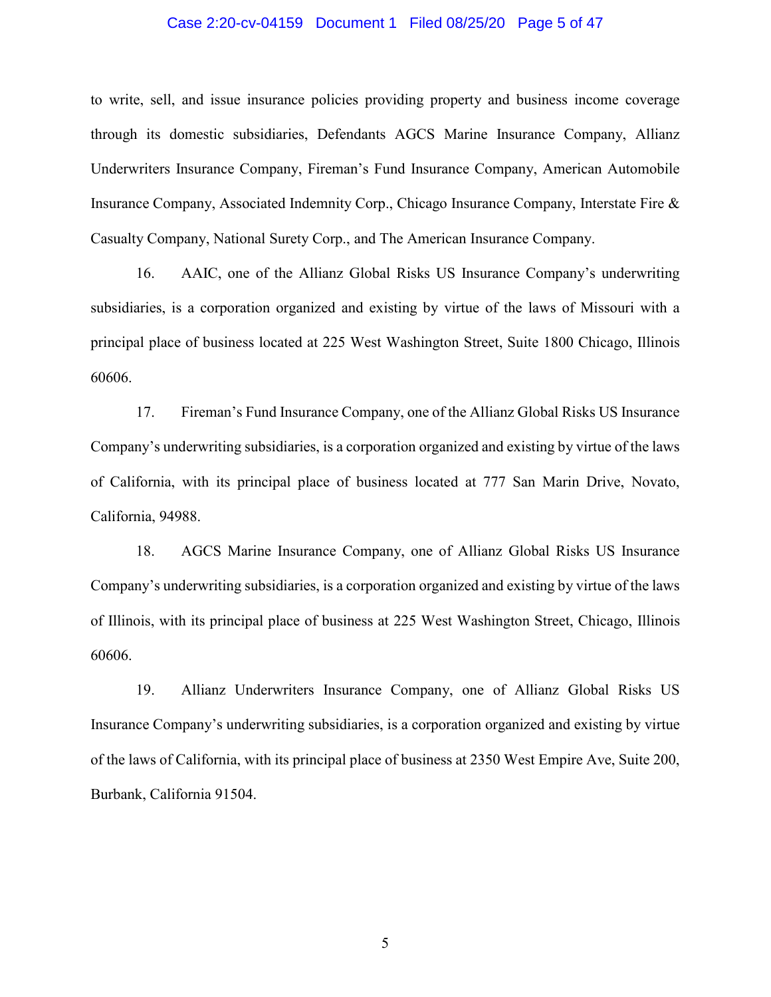#### Case 2:20-cv-04159 Document 1 Filed 08/25/20 Page 5 of 47

to write, sell, and issue insurance policies providing property and business income coverage through its domestic subsidiaries, Defendants AGCS Marine Insurance Company, Allianz Underwriters Insurance Company, Fireman's Fund Insurance Company, American Automobile Insurance Company, Associated Indemnity Corp., Chicago Insurance Company, Interstate Fire & Casualty Company, National Surety Corp., and The American Insurance Company.

16. AAIC, one of the Allianz Global Risks US Insurance Company's underwriting subsidiaries, is a corporation organized and existing by virtue of the laws of Missouri with a principal place of business located at 225 West Washington Street, Suite 1800 Chicago, Illinois 60606.

17. Fireman's Fund Insurance Company, one of the Allianz Global Risks US Insurance Company's underwriting subsidiaries, is a corporation organized and existing by virtue of the laws of California, with its principal place of business located at 777 San Marin Drive, Novato, California, 94988.

18. AGCS Marine Insurance Company, one of Allianz Global Risks US Insurance Company's underwriting subsidiaries, is a corporation organized and existing by virtue of the laws of Illinois, with its principal place of business at 225 West Washington Street, Chicago, Illinois 60606.

19. Allianz Underwriters Insurance Company, one of Allianz Global Risks US Insurance Company's underwriting subsidiaries, is a corporation organized and existing by virtue of the laws of California, with its principal place of business at 2350 West Empire Ave, Suite 200, Burbank, California 91504.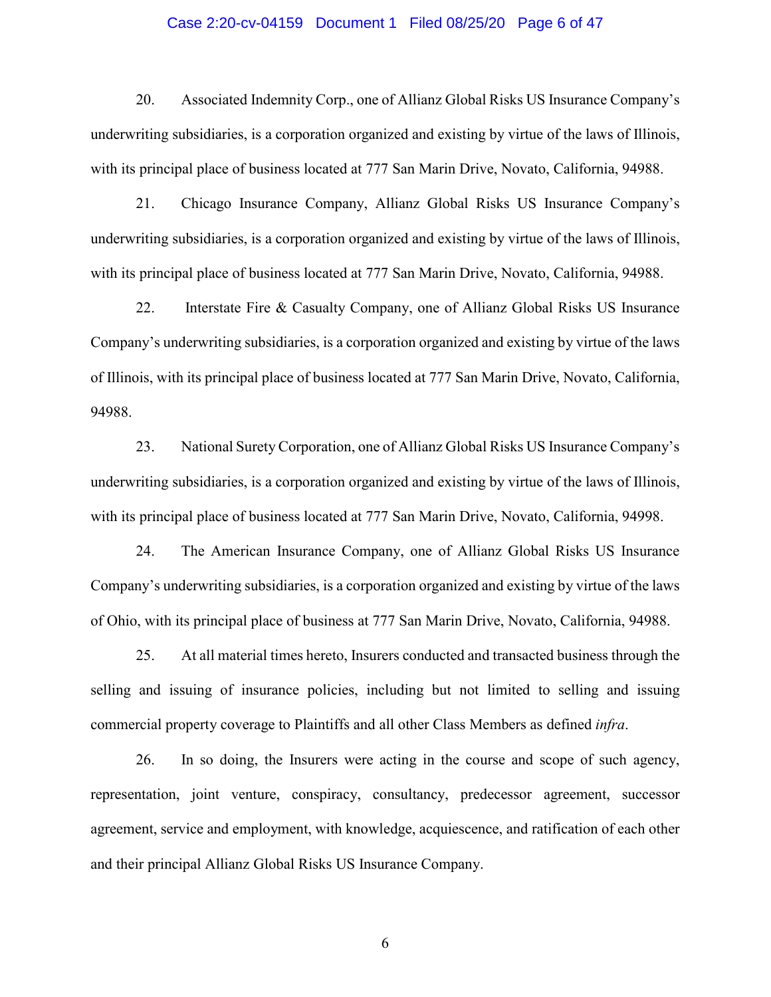#### Case 2:20-cv-04159 Document 1 Filed 08/25/20 Page 6 of 47

20. Associated Indemnity Corp., one of Allianz Global Risks US Insurance Company's underwriting subsidiaries, is a corporation organized and existing by virtue of the laws of Illinois, with its principal place of business located at 777 San Marin Drive, Novato, California, 94988.

21. Chicago Insurance Company, Allianz Global Risks US Insurance Company's underwriting subsidiaries, is a corporation organized and existing by virtue of the laws of Illinois, with its principal place of business located at 777 San Marin Drive, Novato, California, 94988.

22. Interstate Fire & Casualty Company, one of Allianz Global Risks US Insurance Company's underwriting subsidiaries, is a corporation organized and existing by virtue of the laws of Illinois, with its principal place of business located at 777 San Marin Drive, Novato, California, 94988.

23. National Surety Corporation, one of Allianz Global Risks US Insurance Company's underwriting subsidiaries, is a corporation organized and existing by virtue of the laws of Illinois, with its principal place of business located at 777 San Marin Drive, Novato, California, 94998.

24. The American Insurance Company, one of Allianz Global Risks US Insurance Company's underwriting subsidiaries, is a corporation organized and existing by virtue of the laws of Ohio, with its principal place of business at 777 San Marin Drive, Novato, California, 94988.

25. At all material times hereto, Insurers conducted and transacted business through the selling and issuing of insurance policies, including but not limited to selling and issuing commercial property coverage to Plaintiffs and all other Class Members as defined *infra*.

26. In so doing, the Insurers were acting in the course and scope of such agency, representation, joint venture, conspiracy, consultancy, predecessor agreement, successor agreement, service and employment, with knowledge, acquiescence, and ratification of each other and their principal Allianz Global Risks US Insurance Company.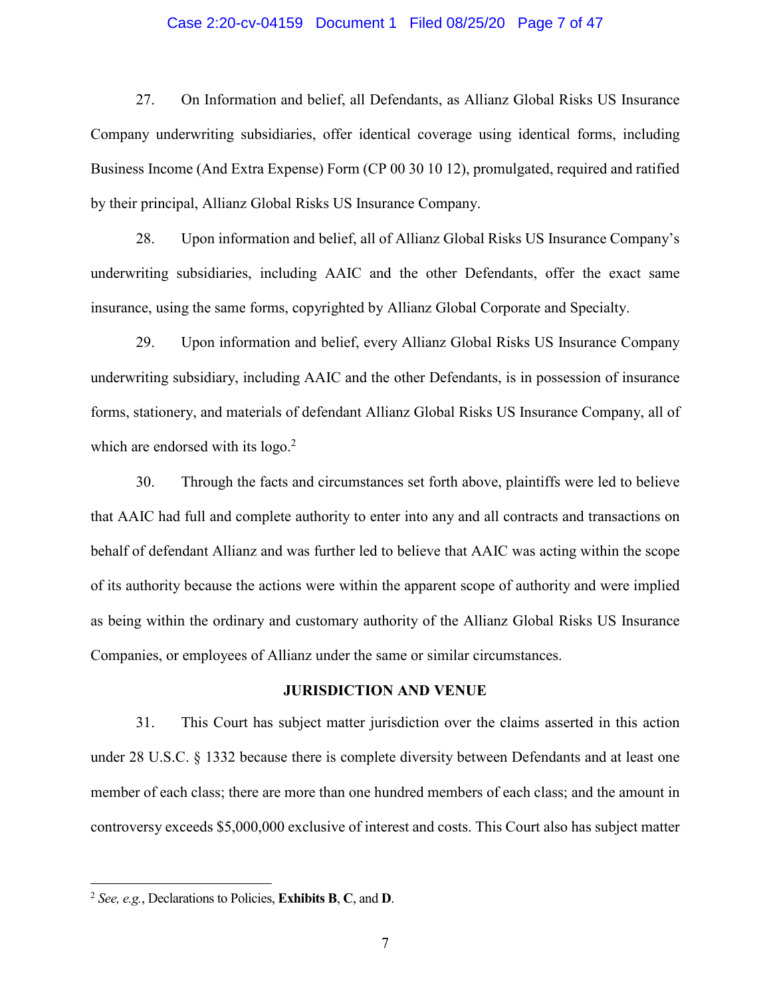#### Case 2:20-cv-04159 Document 1 Filed 08/25/20 Page 7 of 47

27. On Information and belief, all Defendants, as Allianz Global Risks US Insurance Company underwriting subsidiaries, offer identical coverage using identical forms, including Business Income (And Extra Expense) Form (CP 00 30 10 12), promulgated, required and ratified by their principal, Allianz Global Risks US Insurance Company.

28. Upon information and belief, all of Allianz Global Risks US Insurance Company's underwriting subsidiaries, including AAIC and the other Defendants, offer the exact same insurance, using the same forms, copyrighted by Allianz Global Corporate and Specialty.

29. Upon information and belief, every Allianz Global Risks US Insurance Company underwriting subsidiary, including AAIC and the other Defendants, is in possession of insurance forms, stationery, and materials of defendant Allianz Global Risks US Insurance Company, all of which are endorsed with its  $logo<sup>2</sup>$ .

30. Through the facts and circumstances set forth above, plaintiffs were led to believe that AAIC had full and complete authority to enter into any and all contracts and transactions on behalf of defendant Allianz and was further led to believe that AAIC was acting within the scope of its authority because the actions were within the apparent scope of authority and were implied as being within the ordinary and customary authority of the Allianz Global Risks US Insurance Companies, or employees of Allianz under the same or similar circumstances.

### **JURISDICTION AND VENUE**

31. This Court has subject matter jurisdiction over the claims asserted in this action under 28 U.S.C. § 1332 because there is complete diversity between Defendants and at least one member of each class; there are more than one hundred members of each class; and the amount in controversy exceeds \$5,000,000 exclusive of interest and costs. This Court also has subject matter

<sup>2</sup> *See, e.g.*, Declarations to Policies, **Exhibits B**, **C**, and **D**.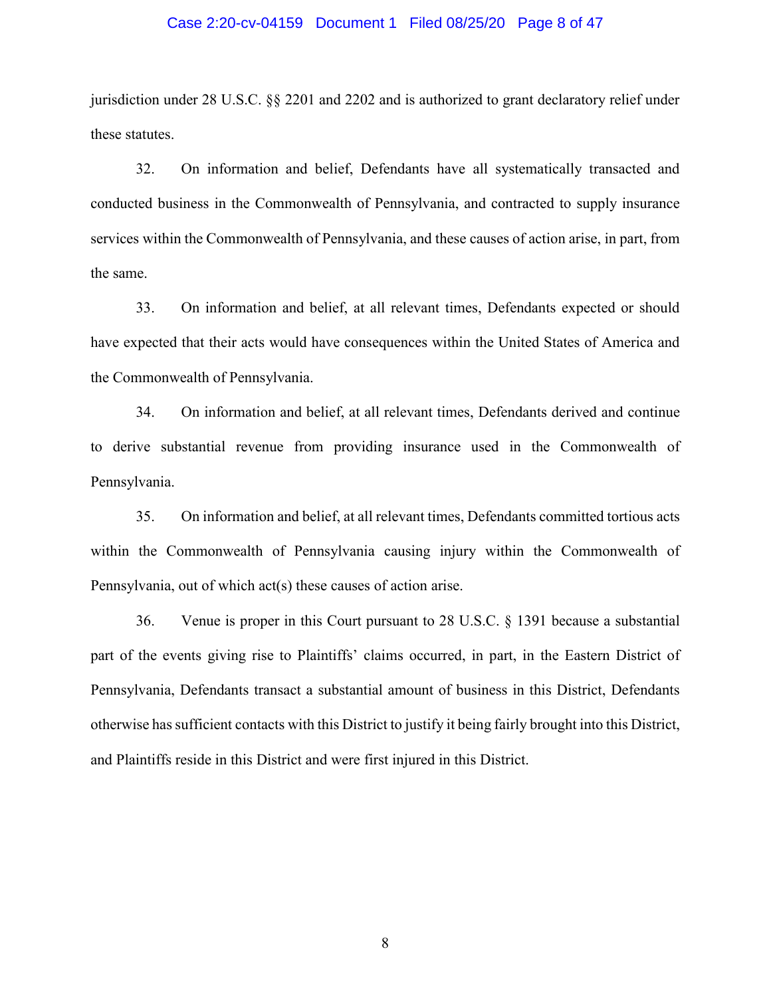#### Case 2:20-cv-04159 Document 1 Filed 08/25/20 Page 8 of 47

jurisdiction under 28 U.S.C. §§ 2201 and 2202 and is authorized to grant declaratory relief under these statutes.

32. On information and belief, Defendants have all systematically transacted and conducted business in the Commonwealth of Pennsylvania, and contracted to supply insurance services within the Commonwealth of Pennsylvania, and these causes of action arise, in part, from the same.

33. On information and belief, at all relevant times, Defendants expected or should have expected that their acts would have consequences within the United States of America and the Commonwealth of Pennsylvania.

34. On information and belief, at all relevant times, Defendants derived and continue to derive substantial revenue from providing insurance used in the Commonwealth of Pennsylvania.

35. On information and belief, at all relevant times, Defendants committed tortious acts within the Commonwealth of Pennsylvania causing injury within the Commonwealth of Pennsylvania, out of which act(s) these causes of action arise.

36. Venue is proper in this Court pursuant to 28 U.S.C. § 1391 because a substantial part of the events giving rise to Plaintiffs' claims occurred, in part, in the Eastern District of Pennsylvania, Defendants transact a substantial amount of business in this District, Defendants otherwise has sufficient contacts with this District to justify it being fairly brought into this District, and Plaintiffs reside in this District and were first injured in this District.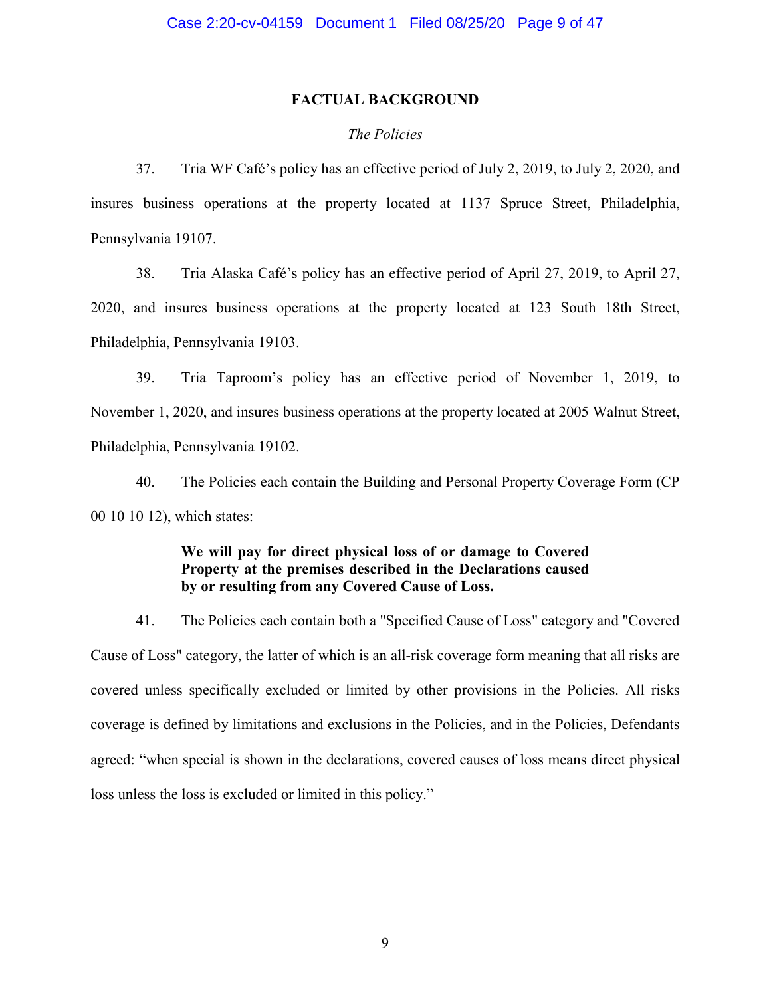### **FACTUAL BACKGROUND**

### *The Policies*

37. Tria WF Café's policy has an effective period of July 2, 2019, to July 2, 2020, and insures business operations at the property located at 1137 Spruce Street, Philadelphia, Pennsylvania 19107.

38. Tria Alaska Café's policy has an effective period of April 27, 2019, to April 27, 2020, and insures business operations at the property located at 123 South 18th Street, Philadelphia, Pennsylvania 19103.

39. Tria Taproom's policy has an effective period of November 1, 2019, to November 1, 2020, and insures business operations at the property located at 2005 Walnut Street, Philadelphia, Pennsylvania 19102.

40. The Policies each contain the Building and Personal Property Coverage Form (CP 00 10 10 12), which states:

# **We will pay for direct physical loss of or damage to Covered Property at the premises described in the Declarations caused by or resulting from any Covered Cause of Loss.**

41. The Policies each contain both a "Specified Cause of Loss" category and "Covered Cause of Loss" category, the latter of which is an all-risk coverage form meaning that all risks are covered unless specifically excluded or limited by other provisions in the Policies. All risks coverage is defined by limitations and exclusions in the Policies, and in the Policies, Defendants agreed: "when special is shown in the declarations, covered causes of loss means direct physical loss unless the loss is excluded or limited in this policy."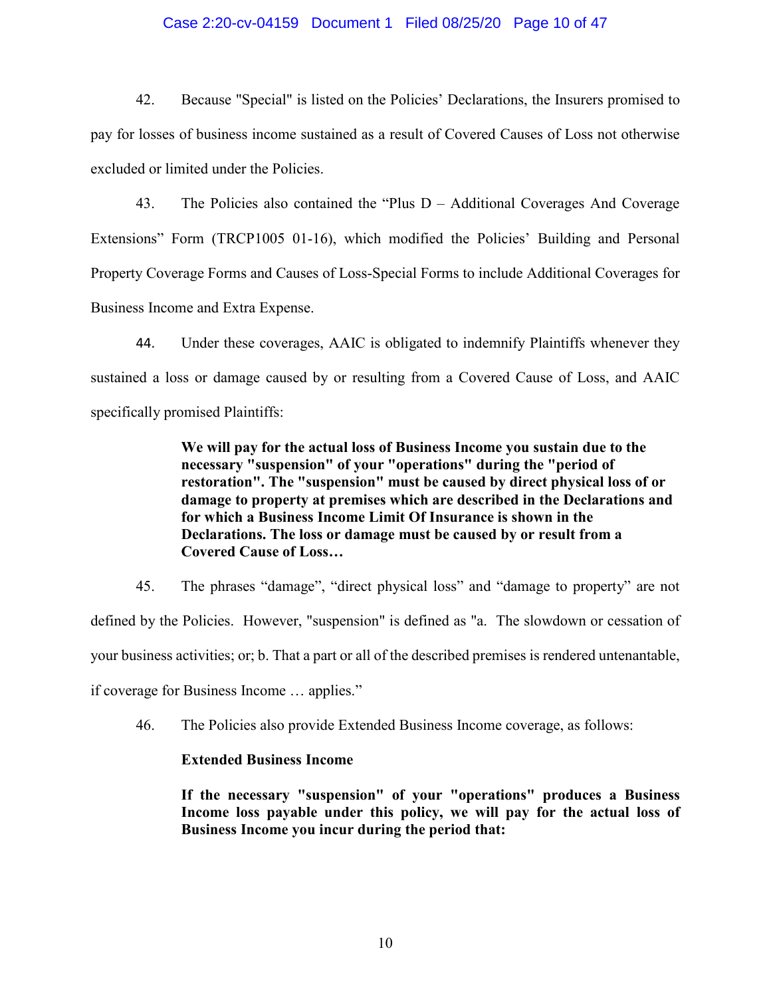### Case 2:20-cv-04159 Document 1 Filed 08/25/20 Page 10 of 47

42. Because "Special" is listed on the Policies' Declarations, the Insurers promised to pay for losses of business income sustained as a result of Covered Causes of Loss not otherwise excluded or limited under the Policies.

43. The Policies also contained the "Plus D – Additional Coverages And Coverage Extensions" Form (TRCP1005 01-16), which modified the Policies' Building and Personal Property Coverage Forms and Causes of Loss-Special Forms to include Additional Coverages for Business Income and Extra Expense.

44. Under these coverages, AAIC is obligated to indemnify Plaintiffs whenever they sustained a loss or damage caused by or resulting from a Covered Cause of Loss, and AAIC specifically promised Plaintiffs:

> **We will pay for the actual loss of Business Income you sustain due to the necessary "suspension" of your "operations" during the "period of restoration". The "suspension" must be caused by direct physical loss of or damage to property at premises which are described in the Declarations and for which a Business Income Limit Of Insurance is shown in the Declarations. The loss or damage must be caused by or result from a Covered Cause of Loss…**

45. The phrases "damage", "direct physical loss" and "damage to property" are not defined by the Policies. However, "suspension" is defined as "a. The slowdown or cessation of your business activities; or; b. That a part or all of the described premises is rendered untenantable, if coverage for Business Income … applies."

46. The Policies also provide Extended Business Income coverage, as follows:

### **Extended Business Income**

**If the necessary "suspension" of your "operations" produces a Business Income loss payable under this policy, we will pay for the actual loss of Business Income you incur during the period that:**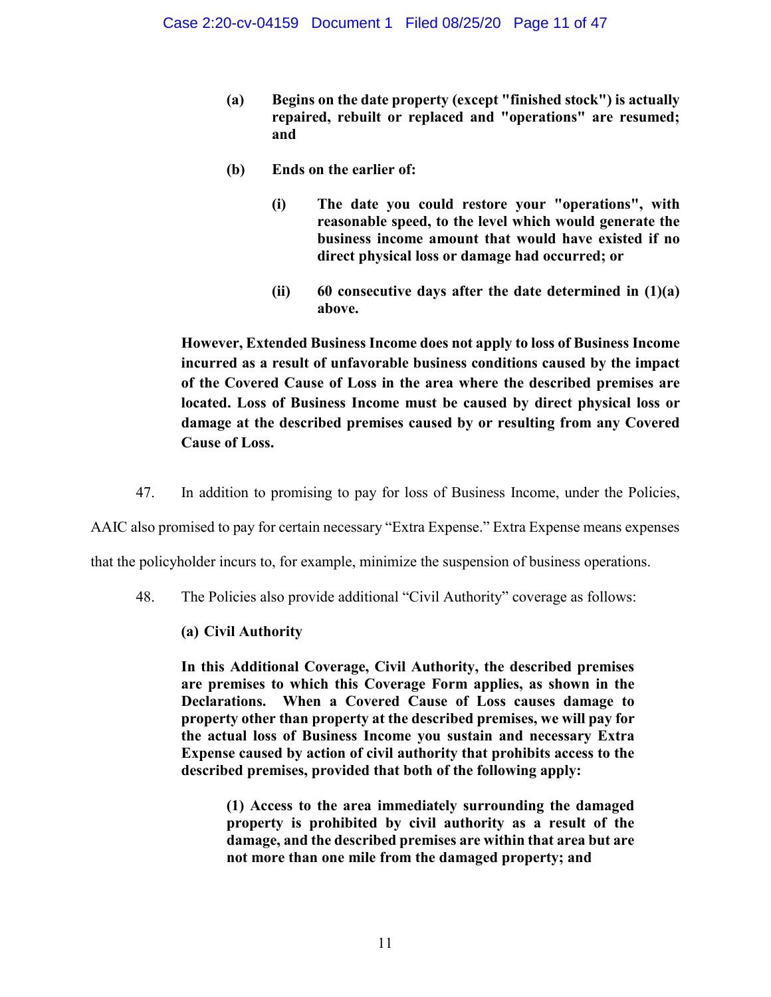- **(a) Begins on the date property (except "finished stock") is actually repaired, rebuilt or replaced and "operations" are resumed; and**
- **(b) Ends on the earlier of:** 
	- **(i) The date you could restore your "operations", with reasonable speed, to the level which would generate the business income amount that would have existed if no direct physical loss or damage had occurred; or**
	- **(ii) 60 consecutive days after the date determined in (1)(a) above.**

**However, Extended Business Income does not apply to loss of Business Income incurred as a result of unfavorable business conditions caused by the impact of the Covered Cause of Loss in the area where the described premises are located. Loss of Business Income must be caused by direct physical loss or damage at the described premises caused by or resulting from any Covered Cause of Loss.** 

47. In addition to promising to pay for loss of Business Income, under the Policies,

AAIC also promised to pay for certain necessary "Extra Expense." Extra Expense means expenses

that the policyholder incurs to, for example, minimize the suspension of business operations.

48. The Policies also provide additional "Civil Authority" coverage as follows:

# **(a) Civil Authority**

**In this Additional Coverage, Civil Authority, the described premises are premises to which this Coverage Form applies, as shown in the Declarations. When a Covered Cause of Loss causes damage to property other than property at the described premises, we will pay for the actual loss of Business Income you sustain and necessary Extra Expense caused by action of civil authority that prohibits access to the described premises, provided that both of the following apply:** 

**(1) Access to the area immediately surrounding the damaged property is prohibited by civil authority as a result of the damage, and the described premises are within that area but are not more than one mile from the damaged property; and**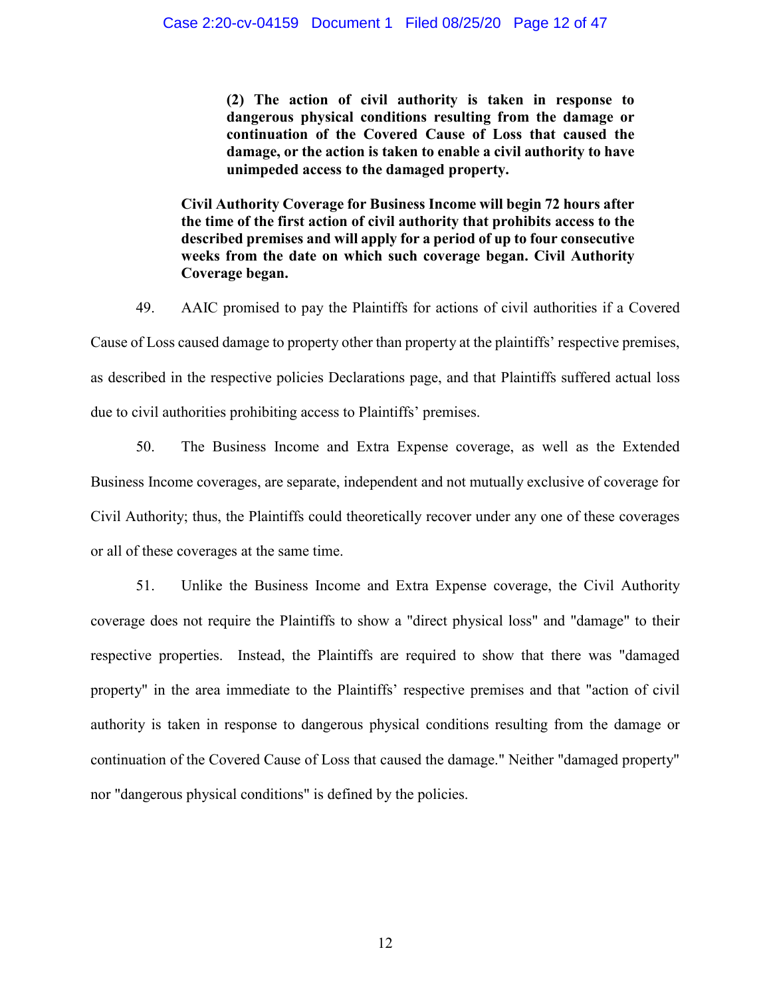**(2) The action of civil authority is taken in response to dangerous physical conditions resulting from the damage or continuation of the Covered Cause of Loss that caused the damage, or the action is taken to enable a civil authority to have unimpeded access to the damaged property.** 

**Civil Authority Coverage for Business Income will begin 72 hours after the time of the first action of civil authority that prohibits access to the described premises and will apply for a period of up to four consecutive weeks from the date on which such coverage began. Civil Authority Coverage began.** 

49. AAIC promised to pay the Plaintiffs for actions of civil authorities if a Covered Cause of Loss caused damage to property other than property at the plaintiffs' respective premises, as described in the respective policies Declarations page, and that Plaintiffs suffered actual loss due to civil authorities prohibiting access to Plaintiffs' premises.

50. The Business Income and Extra Expense coverage, as well as the Extended Business Income coverages, are separate, independent and not mutually exclusive of coverage for Civil Authority; thus, the Plaintiffs could theoretically recover under any one of these coverages or all of these coverages at the same time.

51. Unlike the Business Income and Extra Expense coverage, the Civil Authority coverage does not require the Plaintiffs to show a "direct physical loss" and "damage" to their respective properties. Instead, the Plaintiffs are required to show that there was "damaged property" in the area immediate to the Plaintiffs' respective premises and that "action of civil authority is taken in response to dangerous physical conditions resulting from the damage or continuation of the Covered Cause of Loss that caused the damage." Neither "damaged property" nor "dangerous physical conditions" is defined by the policies.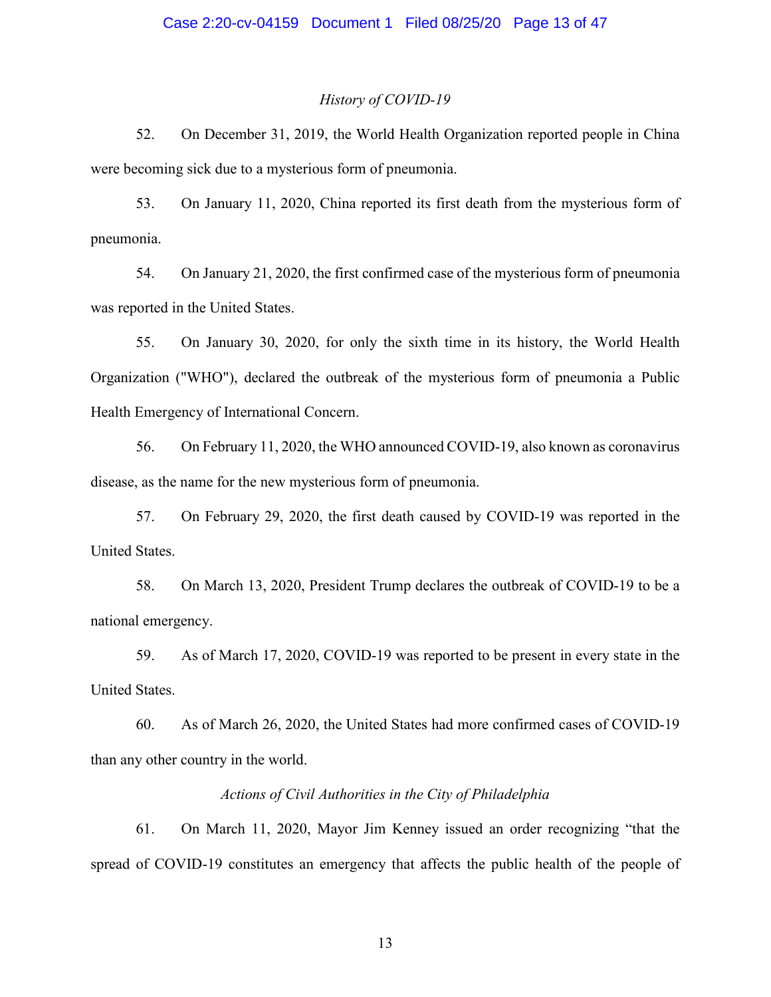#### *History of COVID-19*

52. On December 31, 2019, the World Health Organization reported people in China were becoming sick due to a mysterious form of pneumonia.

53. On January 11, 2020, China reported its first death from the mysterious form of pneumonia.

54. On January 21, 2020, the first confirmed case of the mysterious form of pneumonia was reported in the United States.

55. On January 30, 2020, for only the sixth time in its history, the World Health Organization ("WHO"), declared the outbreak of the mysterious form of pneumonia a Public Health Emergency of International Concern.

56. On February 11, 2020, the WHO announced COVID-19, also known as coronavirus disease, as the name for the new mysterious form of pneumonia.

57. On February 29, 2020, the first death caused by COVID-19 was reported in the United States.

58. On March 13, 2020, President Trump declares the outbreak of COVID-19 to be a national emergency.

59. As of March 17, 2020, COVID-19 was reported to be present in every state in the United States.

60. As of March 26, 2020, the United States had more confirmed cases of COVID-19 than any other country in the world.

# *Actions of Civil Authorities in the City of Philadelphia*

61. On March 11, 2020, Mayor Jim Kenney issued an order recognizing "that the spread of COVID-19 constitutes an emergency that affects the public health of the people of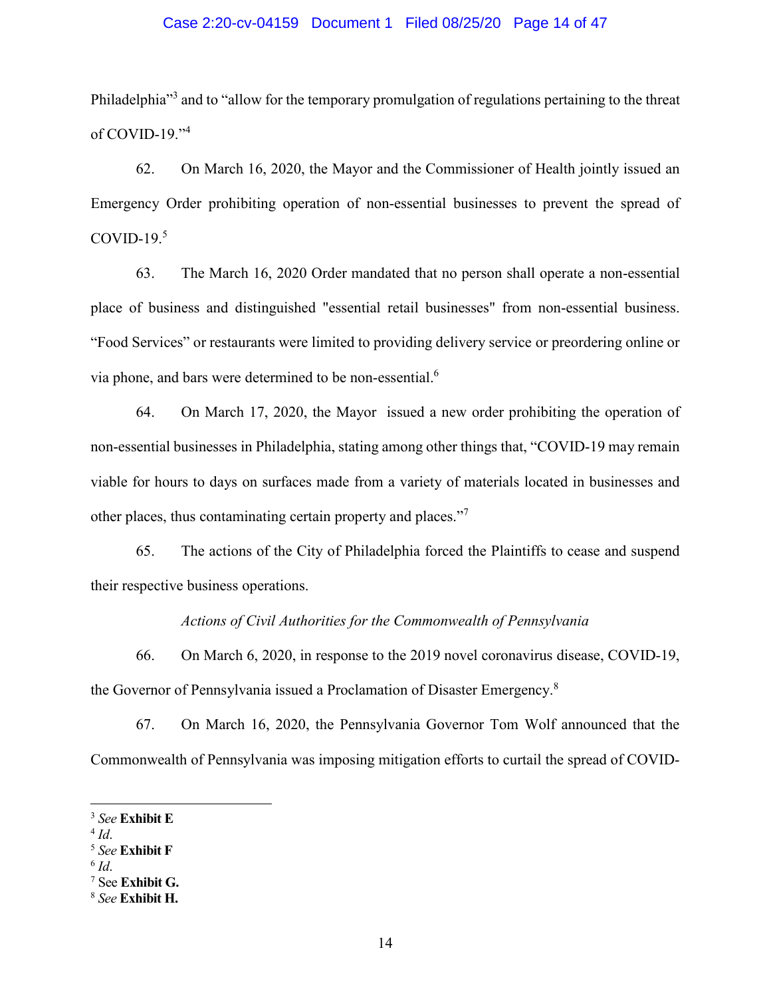## Case 2:20-cv-04159 Document 1 Filed 08/25/20 Page 14 of 47

Philadelphia<sup>33</sup> and to "allow for the temporary promulgation of regulations pertaining to the threat of COVID-19. $14$ 

62. On March 16, 2020, the Mayor and the Commissioner of Health jointly issued an Emergency Order prohibiting operation of non-essential businesses to prevent the spread of COVID-19. $5$ 

63. The March 16, 2020 Order mandated that no person shall operate a non-essential place of business and distinguished "essential retail businesses" from non-essential business. "Food Services" or restaurants were limited to providing delivery service or preordering online or via phone, and bars were determined to be non-essential.<sup>6</sup>

64. On March 17, 2020, the Mayor issued a new order prohibiting the operation of non-essential businesses in Philadelphia, stating among other things that, "COVID-19 may remain viable for hours to days on surfaces made from a variety of materials located in businesses and other places, thus contaminating certain property and places."<sup>7</sup>

65. The actions of the City of Philadelphia forced the Plaintiffs to cease and suspend their respective business operations.

*Actions of Civil Authorities for the Commonwealth of Pennsylvania* 

66. On March 6, 2020, in response to the 2019 novel coronavirus disease, COVID-19, the Governor of Pennsylvania issued a Proclamation of Disaster Emergency.<sup>8</sup>

67. On March 16, 2020, the Pennsylvania Governor Tom Wolf announced that the Commonwealth of Pennsylvania was imposing mitigation efforts to curtail the spread of COVID-

<sup>3</sup> *See* **Exhibit E**

<sup>4</sup> *Id*. 5 *See* **Exhibit F**

 $6$   $Id.$ 

<sup>&</sup>lt;sup>7</sup> See **Exhibit G.** 

<sup>8</sup> *See* **Exhibit H.**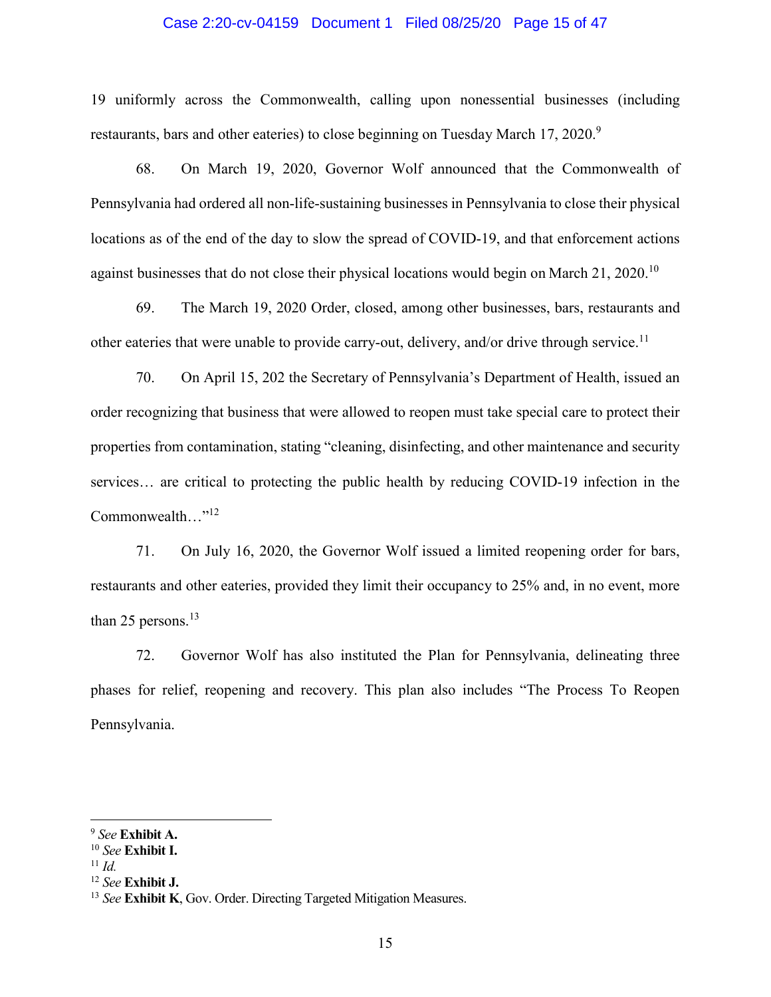### Case 2:20-cv-04159 Document 1 Filed 08/25/20 Page 15 of 47

19 uniformly across the Commonwealth, calling upon nonessential businesses (including restaurants, bars and other eateries) to close beginning on Tuesday March 17, 2020.<sup>9</sup>

68. On March 19, 2020, Governor Wolf announced that the Commonwealth of Pennsylvania had ordered all non-life-sustaining businesses in Pennsylvania to close their physical locations as of the end of the day to slow the spread of COVID-19, and that enforcement actions against businesses that do not close their physical locations would begin on March 21, 2020.<sup>10</sup>

69. The March 19, 2020 Order, closed, among other businesses, bars, restaurants and other eateries that were unable to provide carry-out, delivery, and/or drive through service.<sup>11</sup>

70. On April 15, 202 the Secretary of Pennsylvania's Department of Health, issued an order recognizing that business that were allowed to reopen must take special care to protect their properties from contamination, stating "cleaning, disinfecting, and other maintenance and security services… are critical to protecting the public health by reducing COVID-19 infection in the Commonwealth..."<sup>12</sup>

71. On July 16, 2020, the Governor Wolf issued a limited reopening order for bars, restaurants and other eateries, provided they limit their occupancy to 25% and, in no event, more than 25 persons. $^{13}$ 

72. Governor Wolf has also instituted the Plan for Pennsylvania, delineating three phases for relief, reopening and recovery. This plan also includes "The Process To Reopen Pennsylvania.

<sup>9</sup> *See* **Exhibit A.**

<sup>10</sup> *See* **Exhibit I.**

 $11$  *Id.* 

<sup>12</sup> *See* **Exhibit J.**

<sup>13</sup> *See* **Exhibit K**, Gov. Order. Directing Targeted Mitigation Measures.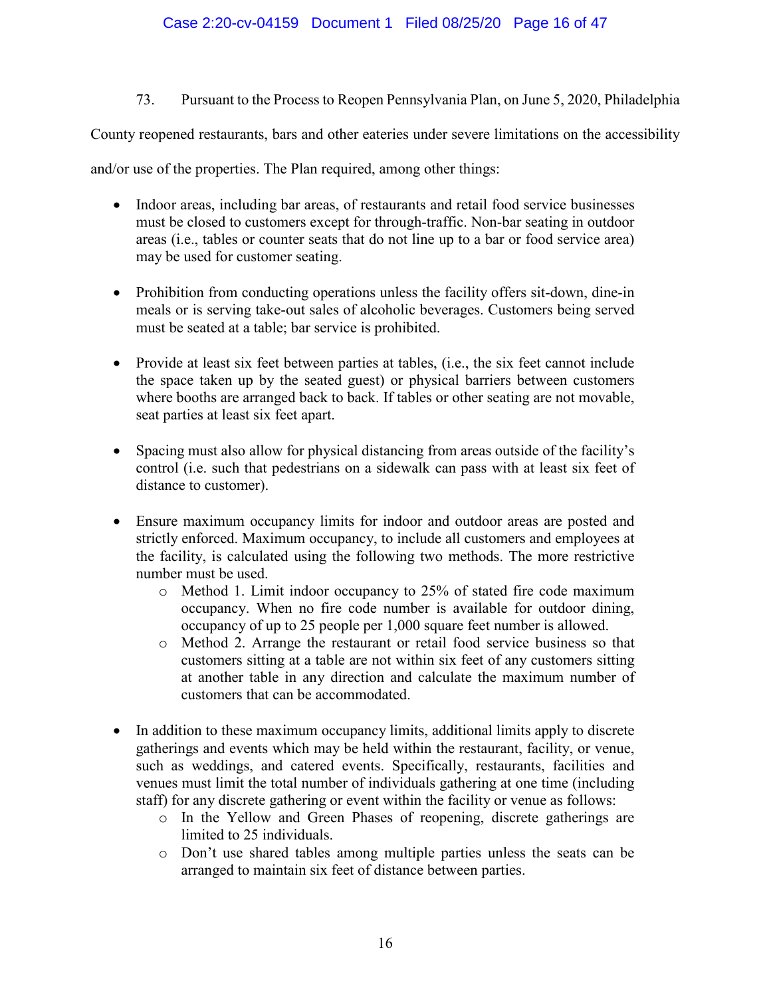73. Pursuant to the Process to Reopen Pennsylvania Plan, on June 5, 2020, Philadelphia

County reopened restaurants, bars and other eateries under severe limitations on the accessibility

and/or use of the properties. The Plan required, among other things:

- Indoor areas, including bar areas, of restaurants and retail food service businesses must be closed to customers except for through-traffic. Non-bar seating in outdoor areas (i.e., tables or counter seats that do not line up to a bar or food service area) may be used for customer seating.
- Prohibition from conducting operations unless the facility offers sit-down, dine-in meals or is serving take-out sales of alcoholic beverages. Customers being served must be seated at a table; bar service is prohibited.
- Provide at least six feet between parties at tables, (i.e., the six feet cannot include the space taken up by the seated guest) or physical barriers between customers where booths are arranged back to back. If tables or other seating are not movable, seat parties at least six feet apart.
- Spacing must also allow for physical distancing from areas outside of the facility's control (i.e. such that pedestrians on a sidewalk can pass with at least six feet of distance to customer).
- Ensure maximum occupancy limits for indoor and outdoor areas are posted and strictly enforced. Maximum occupancy, to include all customers and employees at the facility, is calculated using the following two methods. The more restrictive number must be used.
	- o Method 1. Limit indoor occupancy to 25% of stated fire code maximum occupancy. When no fire code number is available for outdoor dining, occupancy of up to 25 people per 1,000 square feet number is allowed.
	- o Method 2. Arrange the restaurant or retail food service business so that customers sitting at a table are not within six feet of any customers sitting at another table in any direction and calculate the maximum number of customers that can be accommodated.
- In addition to these maximum occupancy limits, additional limits apply to discrete gatherings and events which may be held within the restaurant, facility, or venue, such as weddings, and catered events. Specifically, restaurants, facilities and venues must limit the total number of individuals gathering at one time (including staff) for any discrete gathering or event within the facility or venue as follows:
	- o In the Yellow and Green Phases of reopening, discrete gatherings are limited to 25 individuals.
	- o Don't use shared tables among multiple parties unless the seats can be arranged to maintain six feet of distance between parties.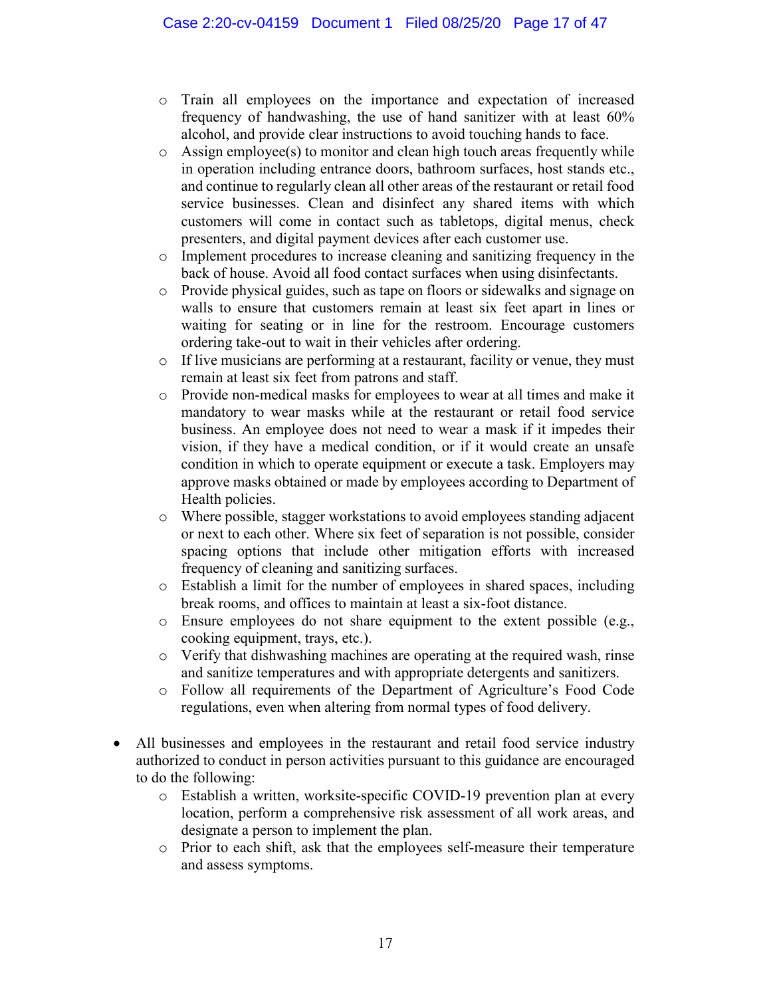- o Train all employees on the importance and expectation of increased frequency of handwashing, the use of hand sanitizer with at least 60% alcohol, and provide clear instructions to avoid touching hands to face.
- $\circ$  Assign employee(s) to monitor and clean high touch areas frequently while in operation including entrance doors, bathroom surfaces, host stands etc., and continue to regularly clean all other areas of the restaurant or retail food service businesses. Clean and disinfect any shared items with which customers will come in contact such as tabletops, digital menus, check presenters, and digital payment devices after each customer use.
- o Implement procedures to increase cleaning and sanitizing frequency in the back of house. Avoid all food contact surfaces when using disinfectants.
- o Provide physical guides, such as tape on floors or sidewalks and signage on walls to ensure that customers remain at least six feet apart in lines or waiting for seating or in line for the restroom. Encourage customers ordering take-out to wait in their vehicles after ordering.
- o If live musicians are performing at a restaurant, facility or venue, they must remain at least six feet from patrons and staff.
- o Provide non-medical masks for employees to wear at all times and make it mandatory to wear masks while at the restaurant or retail food service business. An employee does not need to wear a mask if it impedes their vision, if they have a medical condition, or if it would create an unsafe condition in which to operate equipment or execute a task. Employers may approve masks obtained or made by employees according to Department of Health policies.
- o Where possible, stagger workstations to avoid employees standing adjacent or next to each other. Where six feet of separation is not possible, consider spacing options that include other mitigation efforts with increased frequency of cleaning and sanitizing surfaces.
- o Establish a limit for the number of employees in shared spaces, including break rooms, and offices to maintain at least a six-foot distance.
- o Ensure employees do not share equipment to the extent possible (e.g., cooking equipment, trays, etc.).
- o Verify that dishwashing machines are operating at the required wash, rinse and sanitize temperatures and with appropriate detergents and sanitizers.
- o Follow all requirements of the Department of Agriculture's Food Code regulations, even when altering from normal types of food delivery.
- All businesses and employees in the restaurant and retail food service industry authorized to conduct in person activities pursuant to this guidance are encouraged to do the following:
	- o Establish a written, worksite-specific COVID-19 prevention plan at every location, perform a comprehensive risk assessment of all work areas, and designate a person to implement the plan.
	- o Prior to each shift, ask that the employees self-measure their temperature and assess symptoms.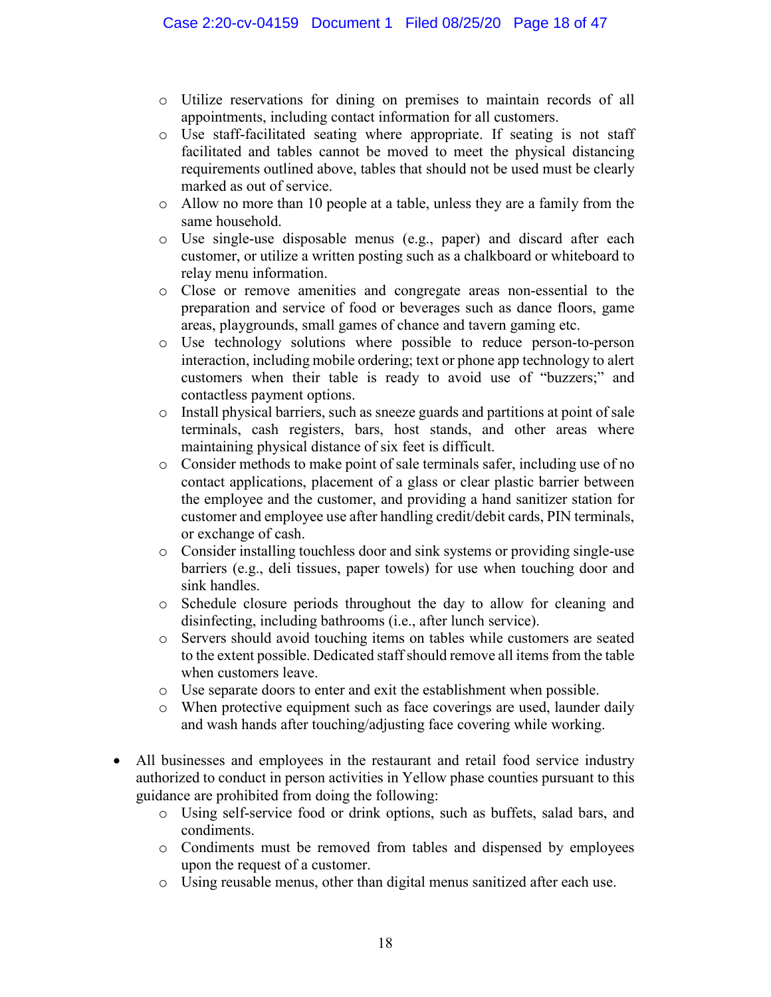- o Utilize reservations for dining on premises to maintain records of all appointments, including contact information for all customers.
- o Use staff-facilitated seating where appropriate. If seating is not staff facilitated and tables cannot be moved to meet the physical distancing requirements outlined above, tables that should not be used must be clearly marked as out of service.
- $\circ$  Allow no more than 10 people at a table, unless they are a family from the same household.
- o Use single-use disposable menus (e.g., paper) and discard after each customer, or utilize a written posting such as a chalkboard or whiteboard to relay menu information.
- o Close or remove amenities and congregate areas non-essential to the preparation and service of food or beverages such as dance floors, game areas, playgrounds, small games of chance and tavern gaming etc.
- o Use technology solutions where possible to reduce person-to-person interaction, including mobile ordering; text or phone app technology to alert customers when their table is ready to avoid use of "buzzers;" and contactless payment options.
- o Install physical barriers, such as sneeze guards and partitions at point of sale terminals, cash registers, bars, host stands, and other areas where maintaining physical distance of six feet is difficult.
- o Consider methods to make point of sale terminals safer, including use of no contact applications, placement of a glass or clear plastic barrier between the employee and the customer, and providing a hand sanitizer station for customer and employee use after handling credit/debit cards, PIN terminals, or exchange of cash.
- o Consider installing touchless door and sink systems or providing single-use barriers (e.g., deli tissues, paper towels) for use when touching door and sink handles.
- o Schedule closure periods throughout the day to allow for cleaning and disinfecting, including bathrooms (i.e., after lunch service).
- o Servers should avoid touching items on tables while customers are seated to the extent possible. Dedicated staff should remove all items from the table when customers leave.
- o Use separate doors to enter and exit the establishment when possible.
- o When protective equipment such as face coverings are used, launder daily and wash hands after touching/adjusting face covering while working.
- All businesses and employees in the restaurant and retail food service industry authorized to conduct in person activities in Yellow phase counties pursuant to this guidance are prohibited from doing the following:
	- o Using self-service food or drink options, such as buffets, salad bars, and condiments.
	- o Condiments must be removed from tables and dispensed by employees upon the request of a customer.
	- o Using reusable menus, other than digital menus sanitized after each use.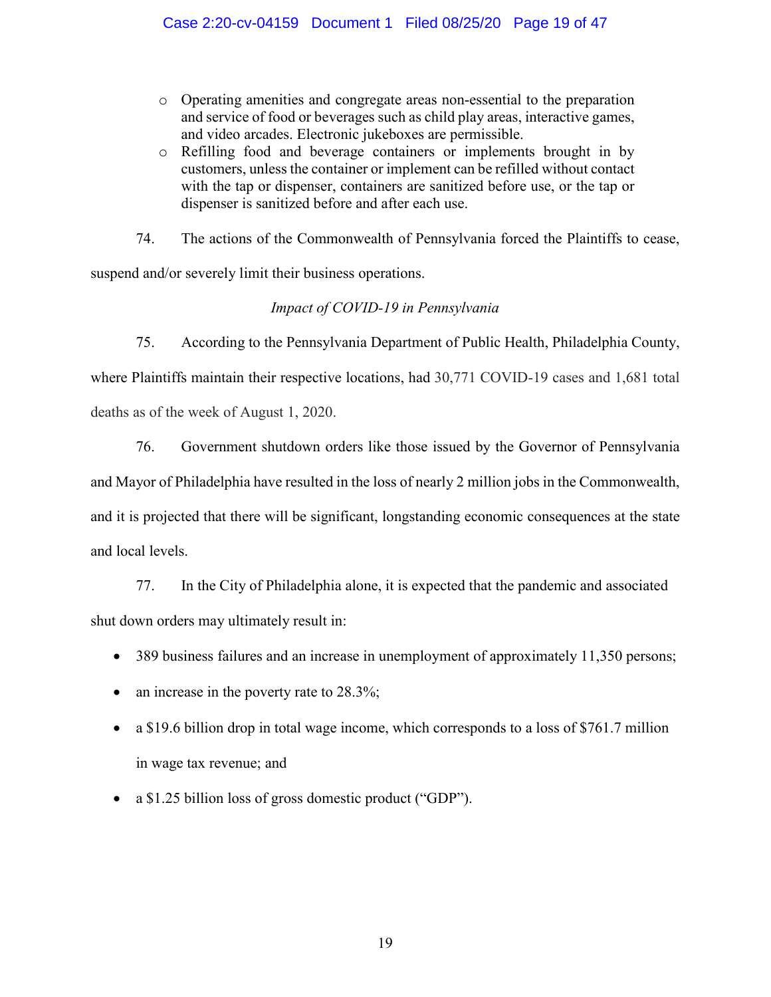- o Operating amenities and congregate areas non-essential to the preparation and service of food or beverages such as child play areas, interactive games, and video arcades. Electronic jukeboxes are permissible.
- o Refilling food and beverage containers or implements brought in by customers, unless the container or implement can be refilled without contact with the tap or dispenser, containers are sanitized before use, or the tap or dispenser is sanitized before and after each use.

74. The actions of the Commonwealth of Pennsylvania forced the Plaintiffs to cease,

suspend and/or severely limit their business operations.

# *Impact of COVID-19 in Pennsylvania*

75. According to the Pennsylvania Department of Public Health, Philadelphia County, where Plaintiffs maintain their respective locations, had 30,771 COVID-19 cases and 1,681 total deaths as of the week of August 1, 2020.

76. Government shutdown orders like those issued by the Governor of Pennsylvania and Mayor of Philadelphia have resulted in the loss of nearly 2 million jobs in the Commonwealth, and it is projected that there will be significant, longstanding economic consequences at the state and local levels.

77. In the City of Philadelphia alone, it is expected that the pandemic and associated shut down orders may ultimately result in:

- $\bullet$  389 business failures and an increase in unemployment of approximately 11,350 persons;
- $\bullet$  an increase in the poverty rate to 28.3%;
- $\bullet$  a \$19.6 billion drop in total wage income, which corresponds to a loss of \$761.7 million in wage tax revenue; and
- a \$1.25 billion loss of gross domestic product ("GDP").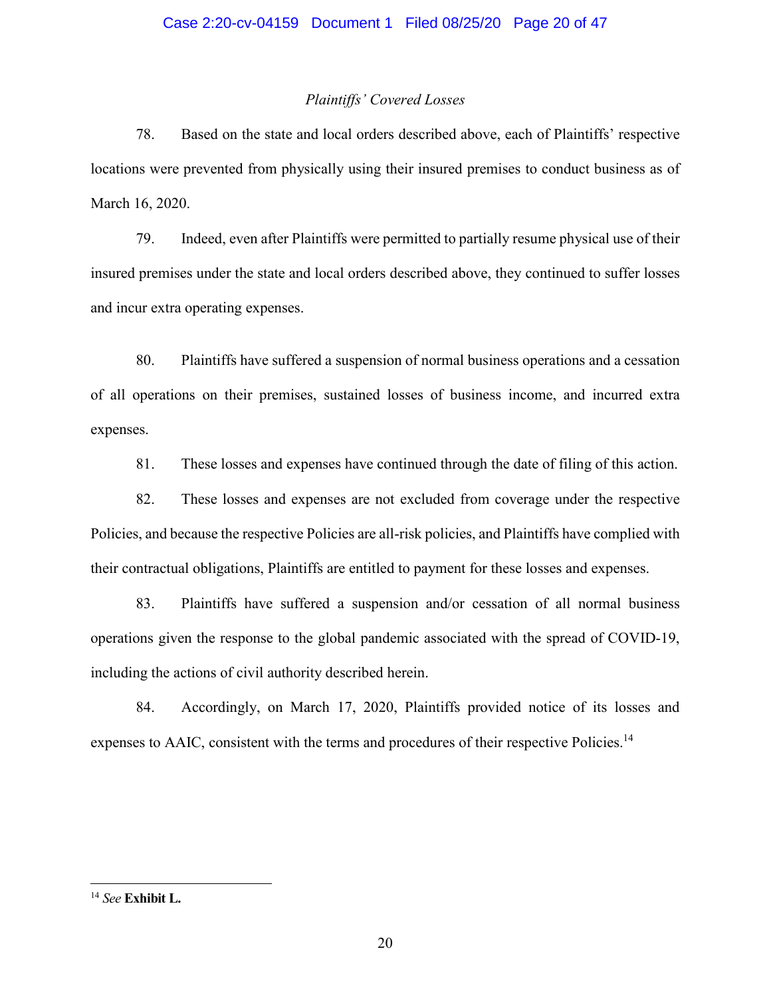# *Plaintiffs' Covered Losses*

78. Based on the state and local orders described above, each of Plaintiffs' respective locations were prevented from physically using their insured premises to conduct business as of March 16, 2020.

79. Indeed, even after Plaintiffs were permitted to partially resume physical use of their insured premises under the state and local orders described above, they continued to suffer losses and incur extra operating expenses.

80. Plaintiffs have suffered a suspension of normal business operations and a cessation of all operations on their premises, sustained losses of business income, and incurred extra expenses.

81. These losses and expenses have continued through the date of filing of this action.

82. These losses and expenses are not excluded from coverage under the respective Policies, and because the respective Policies are all-risk policies, and Plaintiffs have complied with their contractual obligations, Plaintiffs are entitled to payment for these losses and expenses.

83. Plaintiffs have suffered a suspension and/or cessation of all normal business operations given the response to the global pandemic associated with the spread of COVID-19, including the actions of civil authority described herein.

84. Accordingly, on March 17, 2020, Plaintiffs provided notice of its losses and expenses to AAIC, consistent with the terms and procedures of their respective Policies.<sup>14</sup>

<sup>14</sup> *See* **Exhibit L.**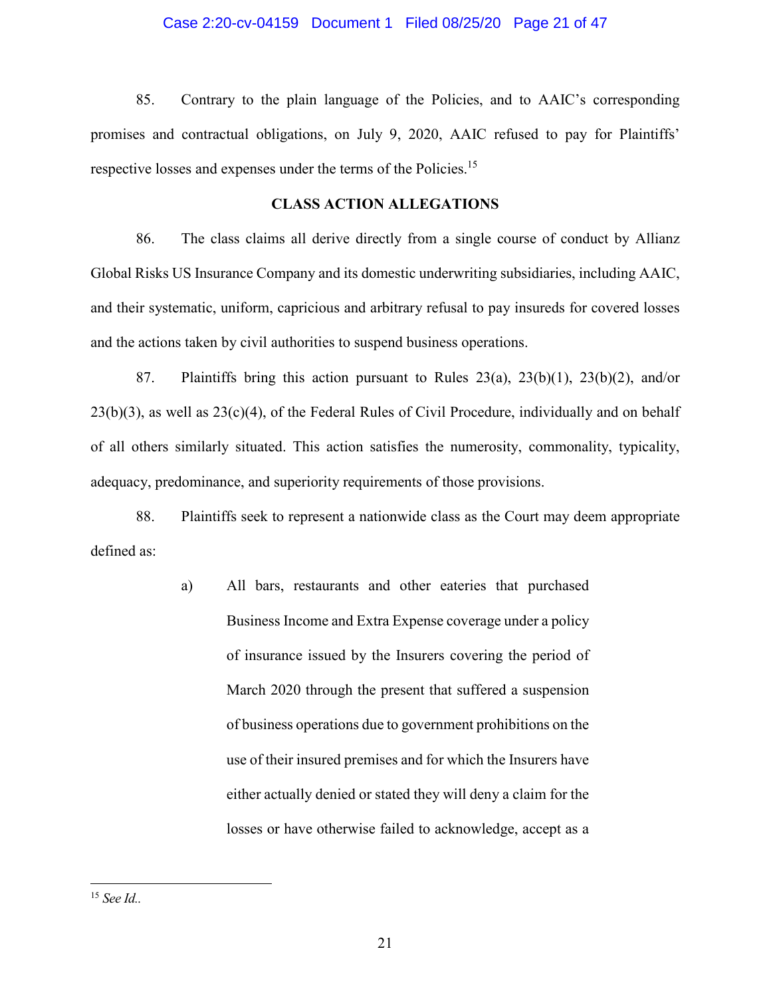### Case 2:20-cv-04159 Document 1 Filed 08/25/20 Page 21 of 47

85. Contrary to the plain language of the Policies, and to AAIC's corresponding promises and contractual obligations, on July 9, 2020, AAIC refused to pay for Plaintiffs' respective losses and expenses under the terms of the Policies.<sup>15</sup>

### **CLASS ACTION ALLEGATIONS**

86. The class claims all derive directly from a single course of conduct by Allianz Global Risks US Insurance Company and its domestic underwriting subsidiaries, including AAIC, and their systematic, uniform, capricious and arbitrary refusal to pay insureds for covered losses and the actions taken by civil authorities to suspend business operations.

87. Plaintiffs bring this action pursuant to Rules 23(a), 23(b)(1), 23(b)(2), and/or  $23(b)(3)$ , as well as  $23(c)(4)$ , of the Federal Rules of Civil Procedure, individually and on behalf of all others similarly situated. This action satisfies the numerosity, commonality, typicality, adequacy, predominance, and superiority requirements of those provisions.

88. Plaintiffs seek to represent a nationwide class as the Court may deem appropriate defined as:

> a) All bars, restaurants and other eateries that purchased Business Income and Extra Expense coverage under a policy of insurance issued by the Insurers covering the period of March 2020 through the present that suffered a suspension of business operations due to government prohibitions on the use of their insured premises and for which the Insurers have either actually denied or stated they will deny a claim for the losses or have otherwise failed to acknowledge, accept as a

<sup>15</sup> *See Id..*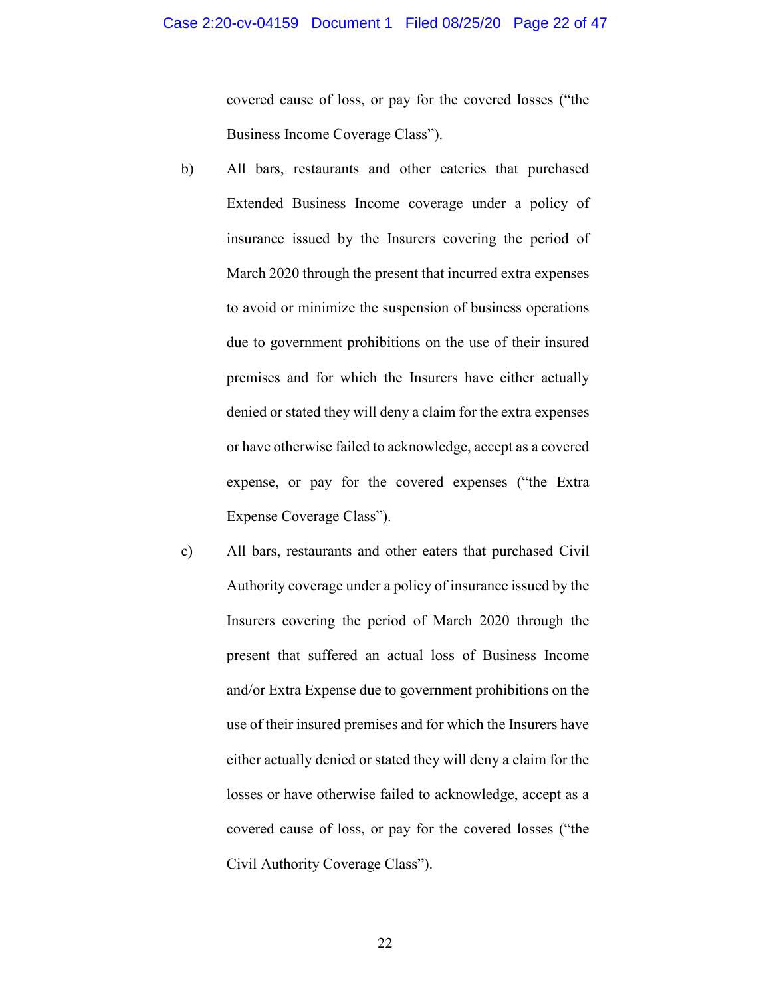covered cause of loss, or pay for the covered losses ("the Business Income Coverage Class").

- b) All bars, restaurants and other eateries that purchased Extended Business Income coverage under a policy of insurance issued by the Insurers covering the period of March 2020 through the present that incurred extra expenses to avoid or minimize the suspension of business operations due to government prohibitions on the use of their insured premises and for which the Insurers have either actually denied or stated they will deny a claim for the extra expenses or have otherwise failed to acknowledge, accept as a covered expense, or pay for the covered expenses ("the Extra Expense Coverage Class").
- c) All bars, restaurants and other eaters that purchased Civil Authority coverage under a policy of insurance issued by the Insurers covering the period of March 2020 through the present that suffered an actual loss of Business Income and/or Extra Expense due to government prohibitions on the use of their insured premises and for which the Insurers have either actually denied or stated they will deny a claim for the losses or have otherwise failed to acknowledge, accept as a covered cause of loss, or pay for the covered losses ("the Civil Authority Coverage Class").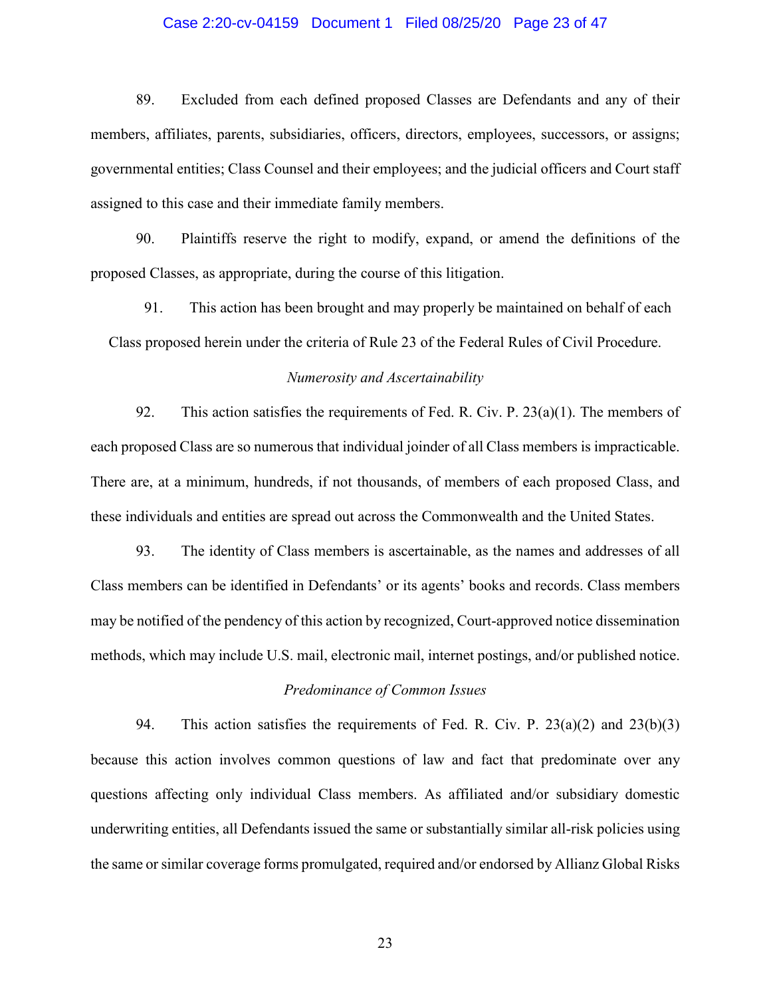### Case 2:20-cv-04159 Document 1 Filed 08/25/20 Page 23 of 47

89. Excluded from each defined proposed Classes are Defendants and any of their members, affiliates, parents, subsidiaries, officers, directors, employees, successors, or assigns; governmental entities; Class Counsel and their employees; and the judicial officers and Court staff assigned to this case and their immediate family members.

90. Plaintiffs reserve the right to modify, expand, or amend the definitions of the proposed Classes, as appropriate, during the course of this litigation.

91. This action has been brought and may properly be maintained on behalf of each Class proposed herein under the criteria of Rule 23 of the Federal Rules of Civil Procedure.

### *Numerosity and Ascertainability*

92. This action satisfies the requirements of Fed. R. Civ. P.  $23(a)(1)$ . The members of each proposed Class are so numerous that individual joinder of all Class members is impracticable. There are, at a minimum, hundreds, if not thousands, of members of each proposed Class, and these individuals and entities are spread out across the Commonwealth and the United States.

93. The identity of Class members is ascertainable, as the names and addresses of all Class members can be identified in Defendants' or its agents' books and records. Class members may be notified of the pendency of this action by recognized, Court-approved notice dissemination methods, which may include U.S. mail, electronic mail, internet postings, and/or published notice.

#### *Predominance of Common Issues*

94. This action satisfies the requirements of Fed. R. Civ. P. 23(a)(2) and 23(b)(3) because this action involves common questions of law and fact that predominate over any questions affecting only individual Class members. As affiliated and/or subsidiary domestic underwriting entities, all Defendants issued the same or substantially similar all-risk policies using the same or similar coverage forms promulgated, required and/or endorsed by Allianz Global Risks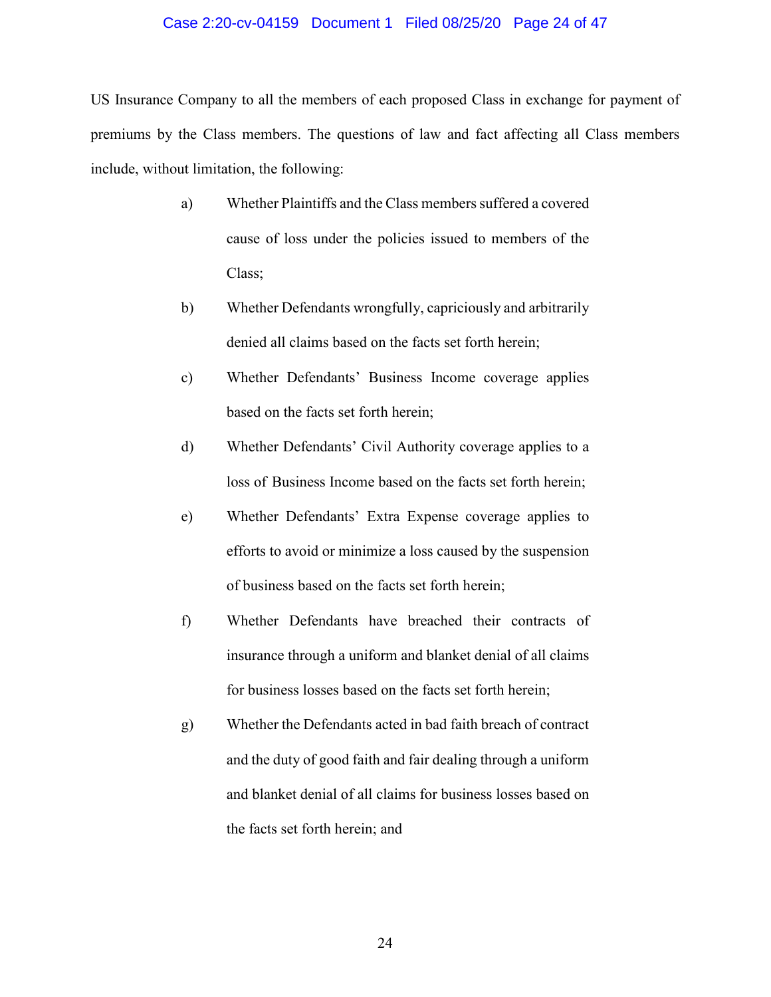#### Case 2:20-cv-04159 Document 1 Filed 08/25/20 Page 24 of 47

US Insurance Company to all the members of each proposed Class in exchange for payment of premiums by the Class members. The questions of law and fact affecting all Class members include, without limitation, the following:

- a) Whether Plaintiffs and the Class members suffered a covered cause of loss under the policies issued to members of the Class;
- b) Whether Defendants wrongfully, capriciously and arbitrarily denied all claims based on the facts set forth herein;
- c) Whether Defendants' Business Income coverage applies based on the facts set forth herein;
- d) Whether Defendants' Civil Authority coverage applies to a loss of Business Income based on the facts set forth herein;
- e) Whether Defendants' Extra Expense coverage applies to efforts to avoid or minimize a loss caused by the suspension of business based on the facts set forth herein;
- f) Whether Defendants have breached their contracts of insurance through a uniform and blanket denial of all claims for business losses based on the facts set forth herein;
- g) Whether the Defendants acted in bad faith breach of contract and the duty of good faith and fair dealing through a uniform and blanket denial of all claims for business losses based on the facts set forth herein; and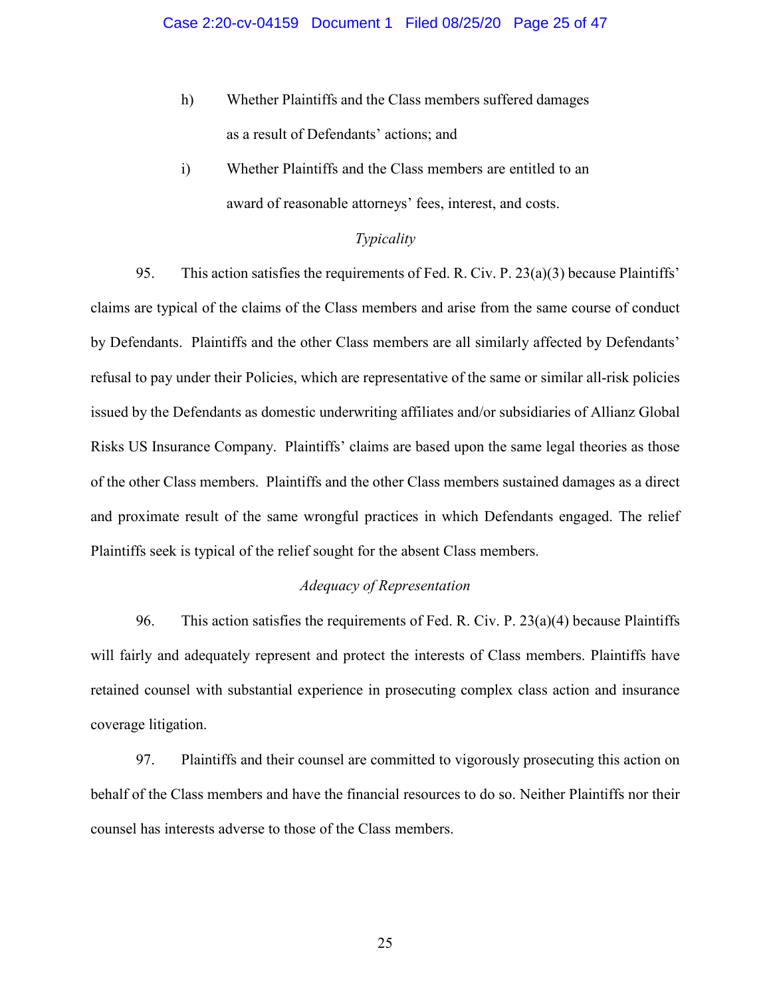- h) Whether Plaintiffs and the Class members suffered damages as a result of Defendants' actions; and
- i) Whether Plaintiffs and the Class members are entitled to an award of reasonable attorneys' fees, interest, and costs.

### *Typicality*

95. This action satisfies the requirements of Fed. R. Civ. P. 23(a)(3) because Plaintiffs' claims are typical of the claims of the Class members and arise from the same course of conduct by Defendants. Plaintiffs and the other Class members are all similarly affected by Defendants' refusal to pay under their Policies, which are representative of the same or similar all-risk policies issued by the Defendants as domestic underwriting affiliates and/or subsidiaries of Allianz Global Risks US Insurance Company. Plaintiffs' claims are based upon the same legal theories as those of the other Class members. Plaintiffs and the other Class members sustained damages as a direct and proximate result of the same wrongful practices in which Defendants engaged. The relief Plaintiffs seek is typical of the relief sought for the absent Class members.

# *Adequacy of Representation*

96. This action satisfies the requirements of Fed. R. Civ. P.  $23(a)(4)$  because Plaintiffs will fairly and adequately represent and protect the interests of Class members. Plaintiffs have retained counsel with substantial experience in prosecuting complex class action and insurance coverage litigation.

97. Plaintiffs and their counsel are committed to vigorously prosecuting this action on behalf of the Class members and have the financial resources to do so. Neither Plaintiffs nor their counsel has interests adverse to those of the Class members.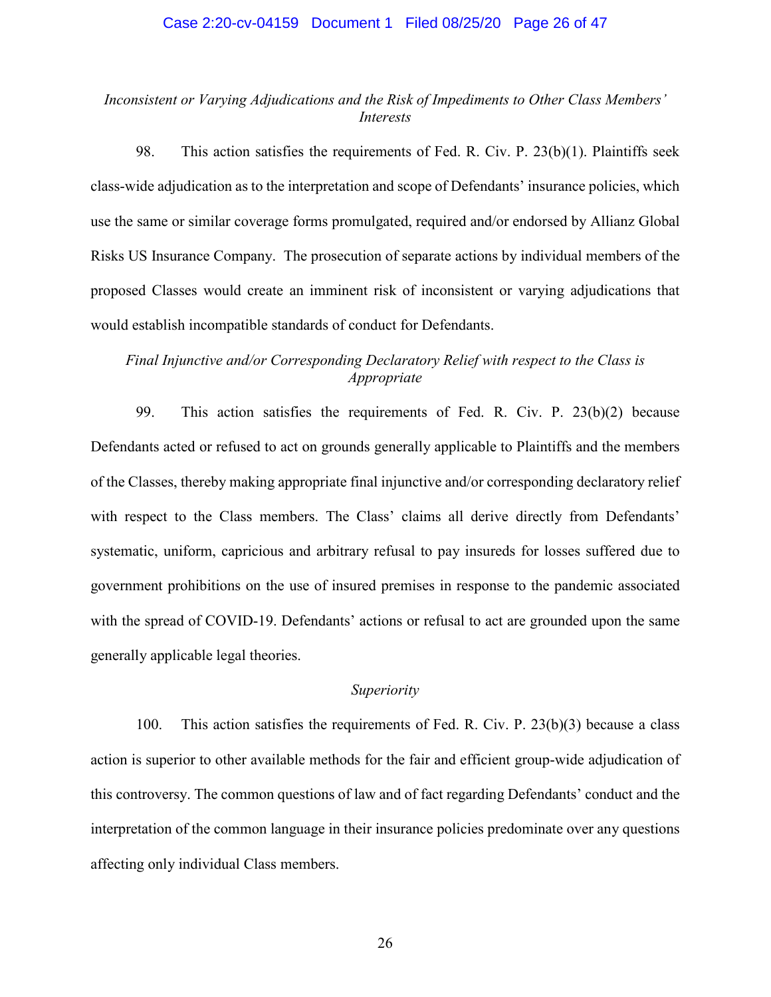#### Case 2:20-cv-04159 Document 1 Filed 08/25/20 Page 26 of 47

## *Inconsistent or Varying Adjudications and the Risk of Impediments to Other Class Members' Interests*

98. This action satisfies the requirements of Fed. R. Civ. P. 23(b)(1). Plaintiffs seek class-wide adjudication as to the interpretation and scope of Defendants' insurance policies, which use the same or similar coverage forms promulgated, required and/or endorsed by Allianz Global Risks US Insurance Company. The prosecution of separate actions by individual members of the proposed Classes would create an imminent risk of inconsistent or varying adjudications that would establish incompatible standards of conduct for Defendants.

# *Final Injunctive and/or Corresponding Declaratory Relief with respect to the Class is Appropriate*

99. This action satisfies the requirements of Fed. R. Civ. P. 23(b)(2) because Defendants acted or refused to act on grounds generally applicable to Plaintiffs and the members of the Classes, thereby making appropriate final injunctive and/or corresponding declaratory relief with respect to the Class members. The Class' claims all derive directly from Defendants' systematic, uniform, capricious and arbitrary refusal to pay insureds for losses suffered due to government prohibitions on the use of insured premises in response to the pandemic associated with the spread of COVID-19. Defendants' actions or refusal to act are grounded upon the same generally applicable legal theories.

#### *Superiority*

100. This action satisfies the requirements of Fed. R. Civ. P. 23(b)(3) because a class action is superior to other available methods for the fair and efficient group-wide adjudication of this controversy. The common questions of law and of fact regarding Defendants' conduct and the interpretation of the common language in their insurance policies predominate over any questions affecting only individual Class members.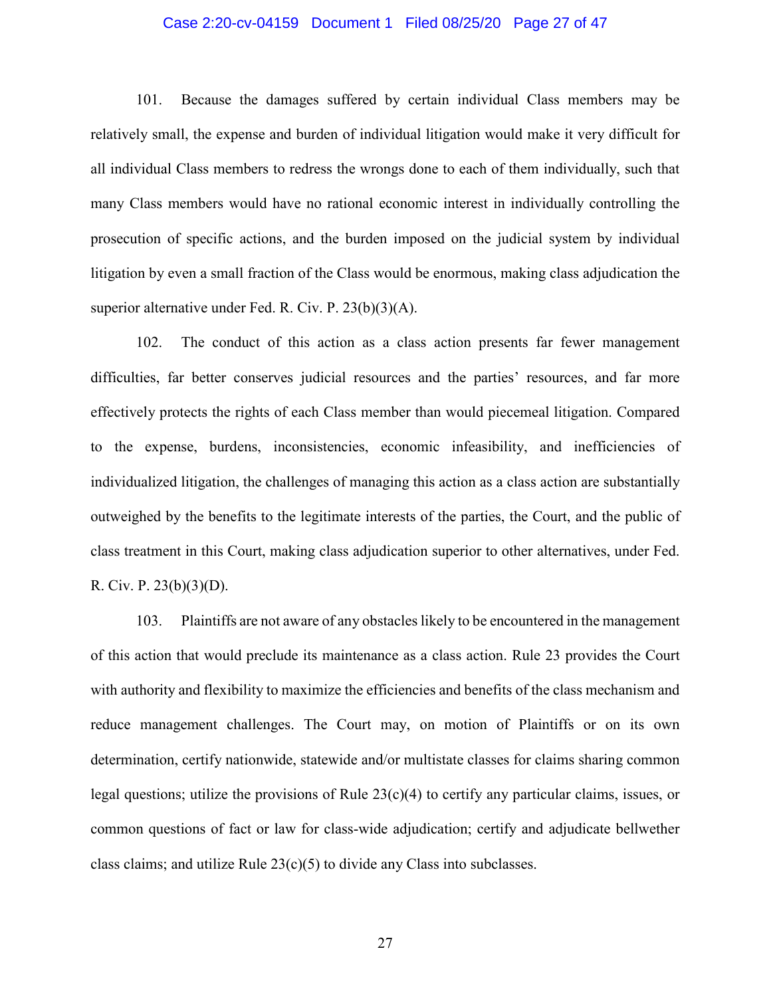### Case 2:20-cv-04159 Document 1 Filed 08/25/20 Page 27 of 47

101. Because the damages suffered by certain individual Class members may be relatively small, the expense and burden of individual litigation would make it very difficult for all individual Class members to redress the wrongs done to each of them individually, such that many Class members would have no rational economic interest in individually controlling the prosecution of specific actions, and the burden imposed on the judicial system by individual litigation by even a small fraction of the Class would be enormous, making class adjudication the superior alternative under Fed. R. Civ. P. 23(b)(3)(A).

102. The conduct of this action as a class action presents far fewer management difficulties, far better conserves judicial resources and the parties' resources, and far more effectively protects the rights of each Class member than would piecemeal litigation. Compared to the expense, burdens, inconsistencies, economic infeasibility, and inefficiencies of individualized litigation, the challenges of managing this action as a class action are substantially outweighed by the benefits to the legitimate interests of the parties, the Court, and the public of class treatment in this Court, making class adjudication superior to other alternatives, under Fed. R. Civ. P. 23(b)(3)(D).

103. Plaintiffs are not aware of any obstacles likely to be encountered in the management of this action that would preclude its maintenance as a class action. Rule 23 provides the Court with authority and flexibility to maximize the efficiencies and benefits of the class mechanism and reduce management challenges. The Court may, on motion of Plaintiffs or on its own determination, certify nationwide, statewide and/or multistate classes for claims sharing common legal questions; utilize the provisions of Rule  $23(c)(4)$  to certify any particular claims, issues, or common questions of fact or law for class-wide adjudication; certify and adjudicate bellwether class claims; and utilize Rule  $23(c)(5)$  to divide any Class into subclasses.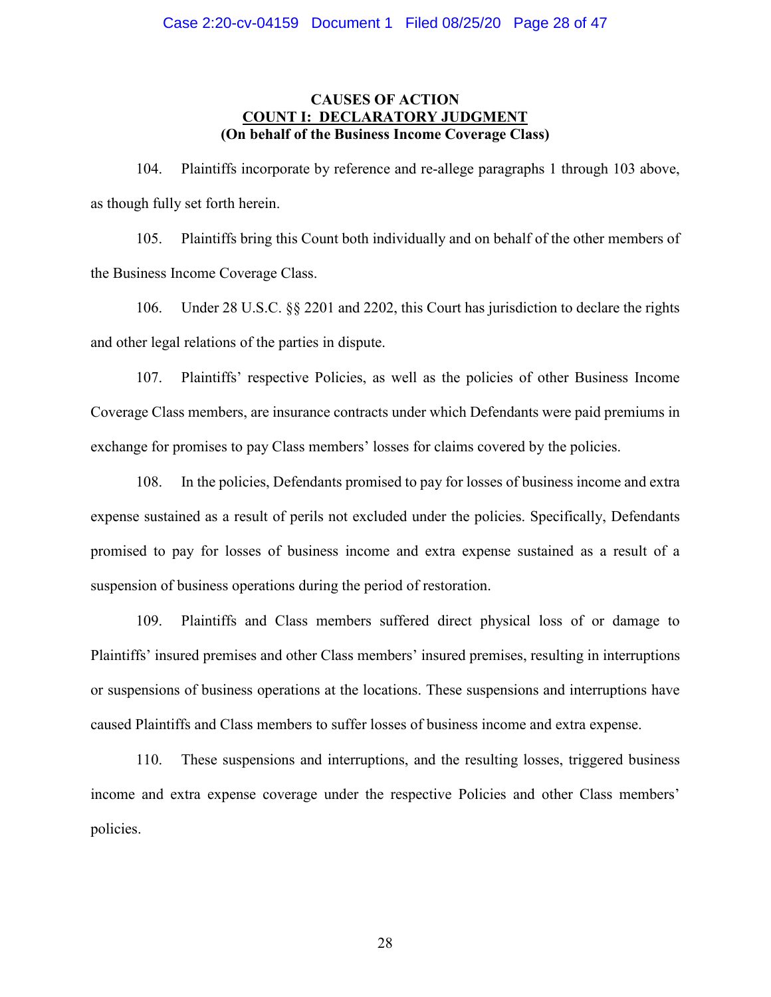# **CAUSES OF ACTION COUNT I: DECLARATORY JUDGMENT (On behalf of the Business Income Coverage Class)**

104. Plaintiffs incorporate by reference and re-allege paragraphs 1 through 103 above, as though fully set forth herein.

105. Plaintiffs bring this Count both individually and on behalf of the other members of the Business Income Coverage Class.

106. Under 28 U.S.C. §§ 2201 and 2202, this Court has jurisdiction to declare the rights and other legal relations of the parties in dispute.

107. Plaintiffs' respective Policies, as well as the policies of other Business Income Coverage Class members, are insurance contracts under which Defendants were paid premiums in exchange for promises to pay Class members' losses for claims covered by the policies.

108. In the policies, Defendants promised to pay for losses of business income and extra expense sustained as a result of perils not excluded under the policies. Specifically, Defendants promised to pay for losses of business income and extra expense sustained as a result of a suspension of business operations during the period of restoration.

109. Plaintiffs and Class members suffered direct physical loss of or damage to Plaintiffs' insured premises and other Class members' insured premises, resulting in interruptions or suspensions of business operations at the locations. These suspensions and interruptions have caused Plaintiffs and Class members to suffer losses of business income and extra expense.

110. These suspensions and interruptions, and the resulting losses, triggered business income and extra expense coverage under the respective Policies and other Class members' policies.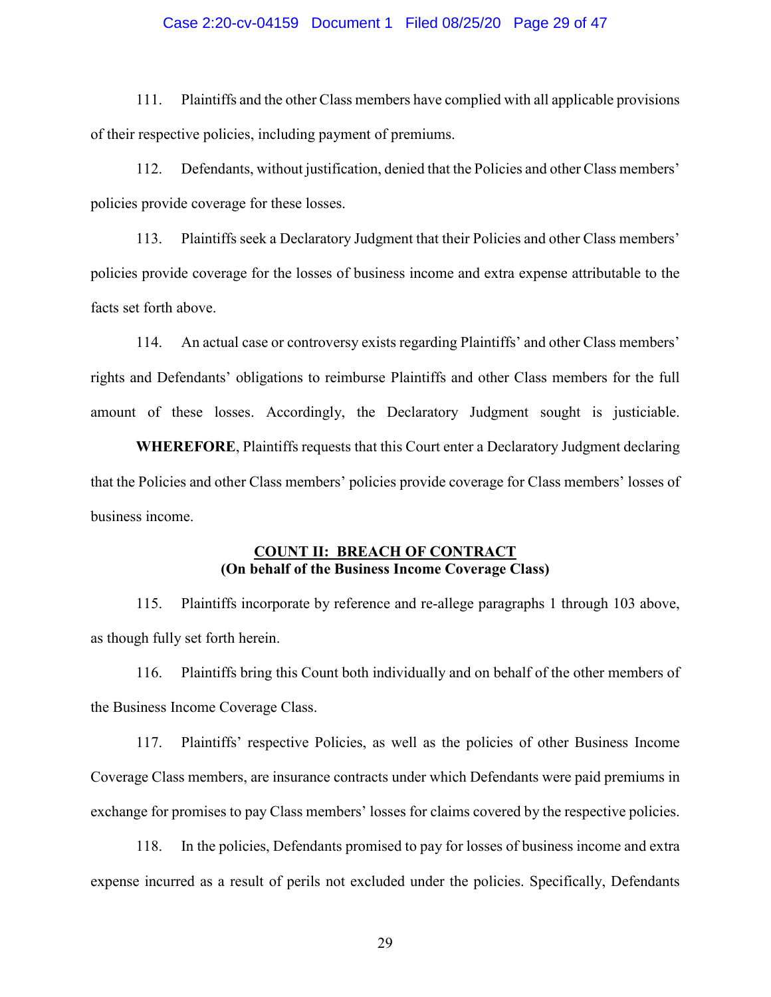#### Case 2:20-cv-04159 Document 1 Filed 08/25/20 Page 29 of 47

111. Plaintiffs and the other Class members have complied with all applicable provisions of their respective policies, including payment of premiums.

112. Defendants, without justification, denied that the Policies and other Class members' policies provide coverage for these losses.

113. Plaintiffs seek a Declaratory Judgment that their Policies and other Class members' policies provide coverage for the losses of business income and extra expense attributable to the facts set forth above.

114. An actual case or controversy exists regarding Plaintiffs' and other Class members' rights and Defendants' obligations to reimburse Plaintiffs and other Class members for the full amount of these losses. Accordingly, the Declaratory Judgment sought is justiciable.

**WHEREFORE**, Plaintiffs requests that this Court enter a Declaratory Judgment declaring that the Policies and other Class members' policies provide coverage for Class members' losses of business income.

## **COUNT II: BREACH OF CONTRACT (On behalf of the Business Income Coverage Class)**

115. Plaintiffs incorporate by reference and re-allege paragraphs 1 through 103 above, as though fully set forth herein.

116. Plaintiffs bring this Count both individually and on behalf of the other members of the Business Income Coverage Class.

117. Plaintiffs' respective Policies, as well as the policies of other Business Income Coverage Class members, are insurance contracts under which Defendants were paid premiums in exchange for promises to pay Class members' losses for claims covered by the respective policies.

118. In the policies, Defendants promised to pay for losses of business income and extra expense incurred as a result of perils not excluded under the policies. Specifically, Defendants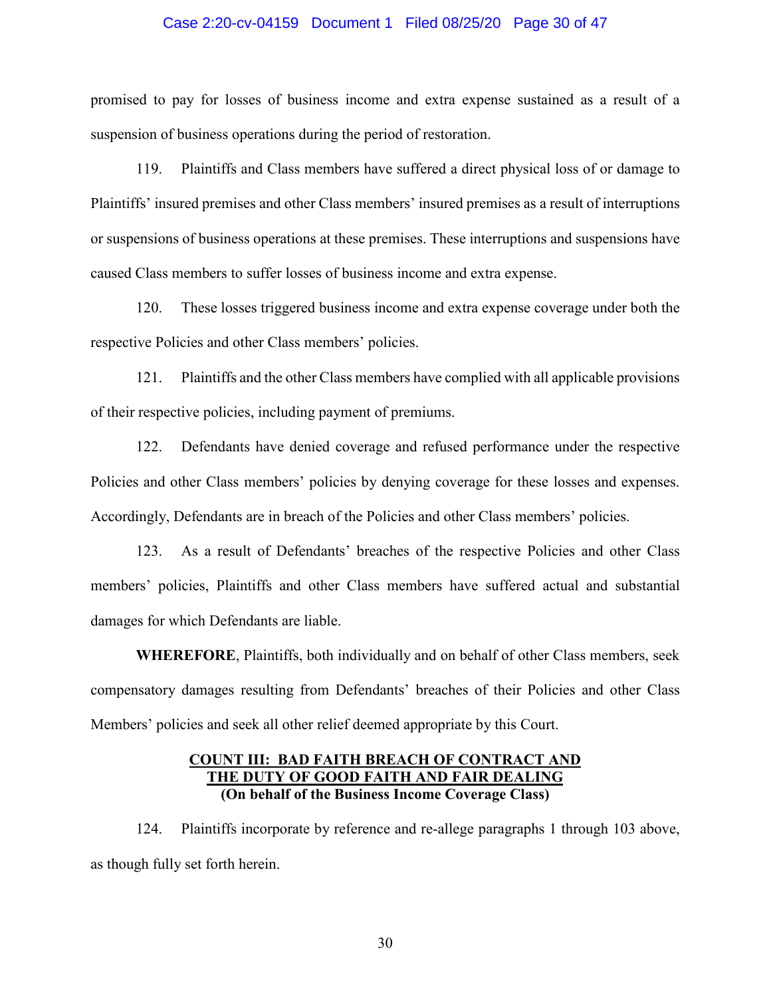#### Case 2:20-cv-04159 Document 1 Filed 08/25/20 Page 30 of 47

promised to pay for losses of business income and extra expense sustained as a result of a suspension of business operations during the period of restoration.

119. Plaintiffs and Class members have suffered a direct physical loss of or damage to Plaintiffs' insured premises and other Class members' insured premises as a result of interruptions or suspensions of business operations at these premises. These interruptions and suspensions have caused Class members to suffer losses of business income and extra expense.

120. These losses triggered business income and extra expense coverage under both the respective Policies and other Class members' policies.

121. Plaintiffs and the other Class members have complied with all applicable provisions of their respective policies, including payment of premiums.

122. Defendants have denied coverage and refused performance under the respective Policies and other Class members' policies by denying coverage for these losses and expenses. Accordingly, Defendants are in breach of the Policies and other Class members' policies.

123. As a result of Defendants' breaches of the respective Policies and other Class members' policies, Plaintiffs and other Class members have suffered actual and substantial damages for which Defendants are liable.

**WHEREFORE**, Plaintiffs, both individually and on behalf of other Class members, seek compensatory damages resulting from Defendants' breaches of their Policies and other Class Members' policies and seek all other relief deemed appropriate by this Court.

## **COUNT III: BAD FAITH BREACH OF CONTRACT AND THE DUTY OF GOOD FAITH AND FAIR DEALING (On behalf of the Business Income Coverage Class)**

124. Plaintiffs incorporate by reference and re-allege paragraphs 1 through 103 above, as though fully set forth herein.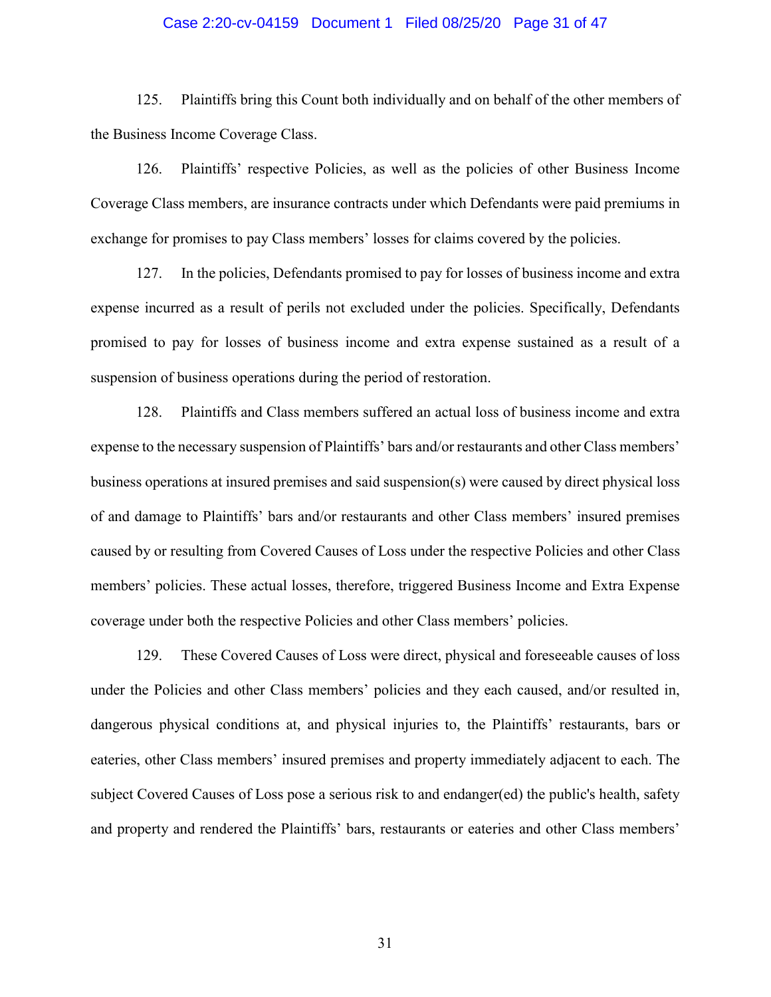#### Case 2:20-cv-04159 Document 1 Filed 08/25/20 Page 31 of 47

125. Plaintiffs bring this Count both individually and on behalf of the other members of the Business Income Coverage Class.

126. Plaintiffs' respective Policies, as well as the policies of other Business Income Coverage Class members, are insurance contracts under which Defendants were paid premiums in exchange for promises to pay Class members' losses for claims covered by the policies.

127. In the policies, Defendants promised to pay for losses of business income and extra expense incurred as a result of perils not excluded under the policies. Specifically, Defendants promised to pay for losses of business income and extra expense sustained as a result of a suspension of business operations during the period of restoration.

128. Plaintiffs and Class members suffered an actual loss of business income and extra expense to the necessary suspension of Plaintiffs' bars and/or restaurants and other Class members' business operations at insured premises and said suspension(s) were caused by direct physical loss of and damage to Plaintiffs' bars and/or restaurants and other Class members' insured premises caused by or resulting from Covered Causes of Loss under the respective Policies and other Class members' policies. These actual losses, therefore, triggered Business Income and Extra Expense coverage under both the respective Policies and other Class members' policies.

129. These Covered Causes of Loss were direct, physical and foreseeable causes of loss under the Policies and other Class members' policies and they each caused, and/or resulted in, dangerous physical conditions at, and physical injuries to, the Plaintiffs' restaurants, bars or eateries, other Class members' insured premises and property immediately adjacent to each. The subject Covered Causes of Loss pose a serious risk to and endanger(ed) the public's health, safety and property and rendered the Plaintiffs' bars, restaurants or eateries and other Class members'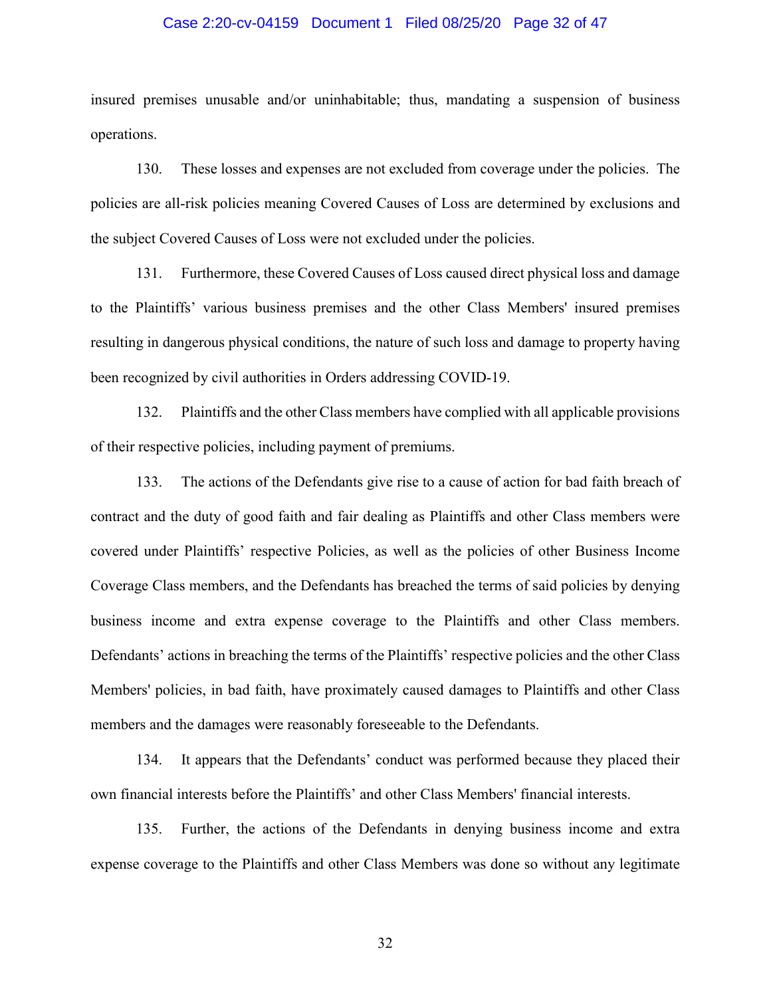#### Case 2:20-cv-04159 Document 1 Filed 08/25/20 Page 32 of 47

insured premises unusable and/or uninhabitable; thus, mandating a suspension of business operations.

130. These losses and expenses are not excluded from coverage under the policies. The policies are all-risk policies meaning Covered Causes of Loss are determined by exclusions and the subject Covered Causes of Loss were not excluded under the policies.

131. Furthermore, these Covered Causes of Loss caused direct physical loss and damage to the Plaintiffs' various business premises and the other Class Members' insured premises resulting in dangerous physical conditions, the nature of such loss and damage to property having been recognized by civil authorities in Orders addressing COVID-19.

132. Plaintiffs and the other Class members have complied with all applicable provisions of their respective policies, including payment of premiums.

133. The actions of the Defendants give rise to a cause of action for bad faith breach of contract and the duty of good faith and fair dealing as Plaintiffs and other Class members were covered under Plaintiffs' respective Policies, as well as the policies of other Business Income Coverage Class members, and the Defendants has breached the terms of said policies by denying business income and extra expense coverage to the Plaintiffs and other Class members. Defendants' actions in breaching the terms of the Plaintiffs' respective policies and the other Class Members' policies, in bad faith, have proximately caused damages to Plaintiffs and other Class members and the damages were reasonably foreseeable to the Defendants.

134. It appears that the Defendants' conduct was performed because they placed their own financial interests before the Plaintiffs' and other Class Members' financial interests.

135. Further, the actions of the Defendants in denying business income and extra expense coverage to the Plaintiffs and other Class Members was done so without any legitimate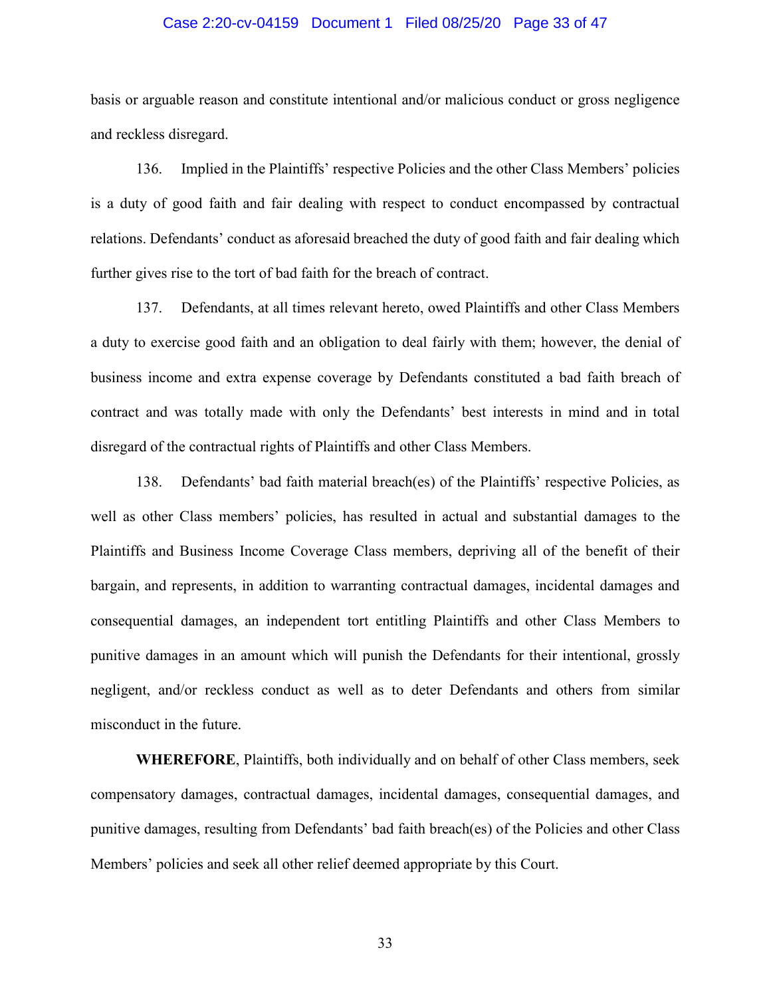#### Case 2:20-cv-04159 Document 1 Filed 08/25/20 Page 33 of 47

basis or arguable reason and constitute intentional and/or malicious conduct or gross negligence and reckless disregard.

136. Implied in the Plaintiffs' respective Policies and the other Class Members' policies is a duty of good faith and fair dealing with respect to conduct encompassed by contractual relations. Defendants' conduct as aforesaid breached the duty of good faith and fair dealing which further gives rise to the tort of bad faith for the breach of contract.

137. Defendants, at all times relevant hereto, owed Plaintiffs and other Class Members a duty to exercise good faith and an obligation to deal fairly with them; however, the denial of business income and extra expense coverage by Defendants constituted a bad faith breach of contract and was totally made with only the Defendants' best interests in mind and in total disregard of the contractual rights of Plaintiffs and other Class Members.

138. Defendants' bad faith material breach(es) of the Plaintiffs' respective Policies, as well as other Class members' policies, has resulted in actual and substantial damages to the Plaintiffs and Business Income Coverage Class members, depriving all of the benefit of their bargain, and represents, in addition to warranting contractual damages, incidental damages and consequential damages, an independent tort entitling Plaintiffs and other Class Members to punitive damages in an amount which will punish the Defendants for their intentional, grossly negligent, and/or reckless conduct as well as to deter Defendants and others from similar misconduct in the future.

**WHEREFORE**, Plaintiffs, both individually and on behalf of other Class members, seek compensatory damages, contractual damages, incidental damages, consequential damages, and punitive damages, resulting from Defendants' bad faith breach(es) of the Policies and other Class Members' policies and seek all other relief deemed appropriate by this Court.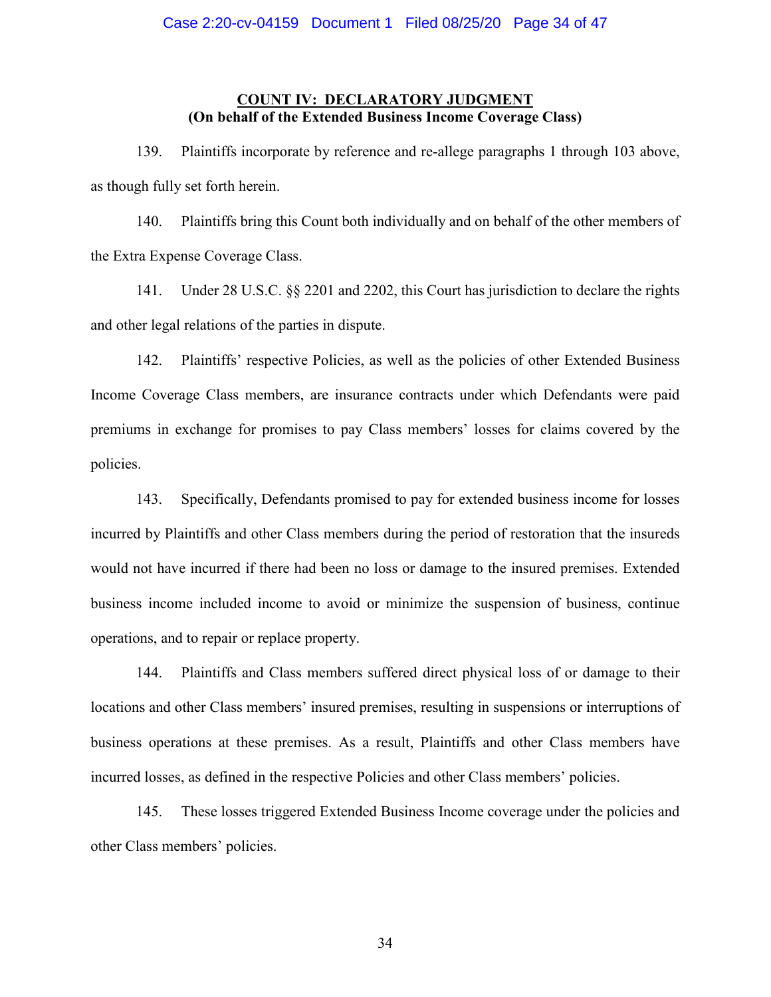### **COUNT IV: DECLARATORY JUDGMENT (On behalf of the Extended Business Income Coverage Class)**

139. Plaintiffs incorporate by reference and re-allege paragraphs 1 through 103 above, as though fully set forth herein.

140. Plaintiffs bring this Count both individually and on behalf of the other members of the Extra Expense Coverage Class.

141. Under 28 U.S.C. §§ 2201 and 2202, this Court has jurisdiction to declare the rights and other legal relations of the parties in dispute.

142. Plaintiffs' respective Policies, as well as the policies of other Extended Business Income Coverage Class members, are insurance contracts under which Defendants were paid premiums in exchange for promises to pay Class members' losses for claims covered by the policies.

143. Specifically, Defendants promised to pay for extended business income for losses incurred by Plaintiffs and other Class members during the period of restoration that the insureds would not have incurred if there had been no loss or damage to the insured premises. Extended business income included income to avoid or minimize the suspension of business, continue operations, and to repair or replace property.

144. Plaintiffs and Class members suffered direct physical loss of or damage to their locations and other Class members' insured premises, resulting in suspensions or interruptions of business operations at these premises. As a result, Plaintiffs and other Class members have incurred losses, as defined in the respective Policies and other Class members' policies.

145. These losses triggered Extended Business Income coverage under the policies and other Class members' policies.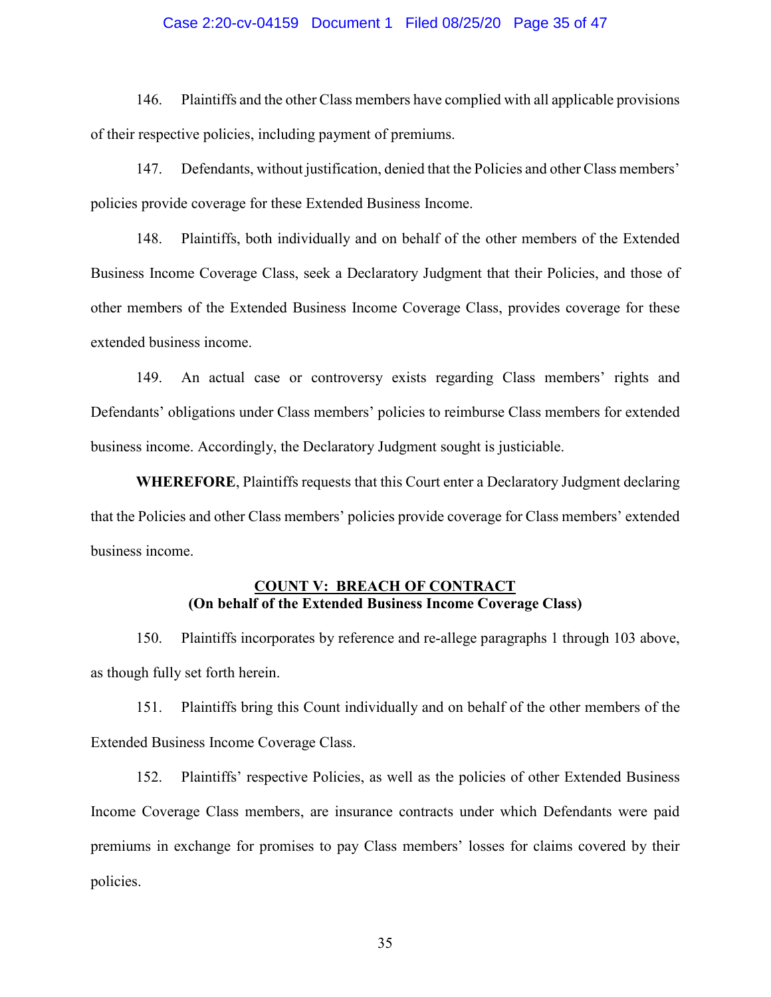### Case 2:20-cv-04159 Document 1 Filed 08/25/20 Page 35 of 47

146. Plaintiffs and the other Class members have complied with all applicable provisions of their respective policies, including payment of premiums.

147. Defendants, without justification, denied that the Policies and other Class members' policies provide coverage for these Extended Business Income.

148. Plaintiffs, both individually and on behalf of the other members of the Extended Business Income Coverage Class, seek a Declaratory Judgment that their Policies, and those of other members of the Extended Business Income Coverage Class, provides coverage for these extended business income.

149. An actual case or controversy exists regarding Class members' rights and Defendants' obligations under Class members' policies to reimburse Class members for extended business income. Accordingly, the Declaratory Judgment sought is justiciable.

**WHEREFORE**, Plaintiffs requests that this Court enter a Declaratory Judgment declaring that the Policies and other Class members' policies provide coverage for Class members' extended business income.

### **COUNT V: BREACH OF CONTRACT (On behalf of the Extended Business Income Coverage Class)**

150. Plaintiffs incorporates by reference and re-allege paragraphs 1 through 103 above, as though fully set forth herein.

151. Plaintiffs bring this Count individually and on behalf of the other members of the Extended Business Income Coverage Class.

152. Plaintiffs' respective Policies, as well as the policies of other Extended Business Income Coverage Class members, are insurance contracts under which Defendants were paid premiums in exchange for promises to pay Class members' losses for claims covered by their policies.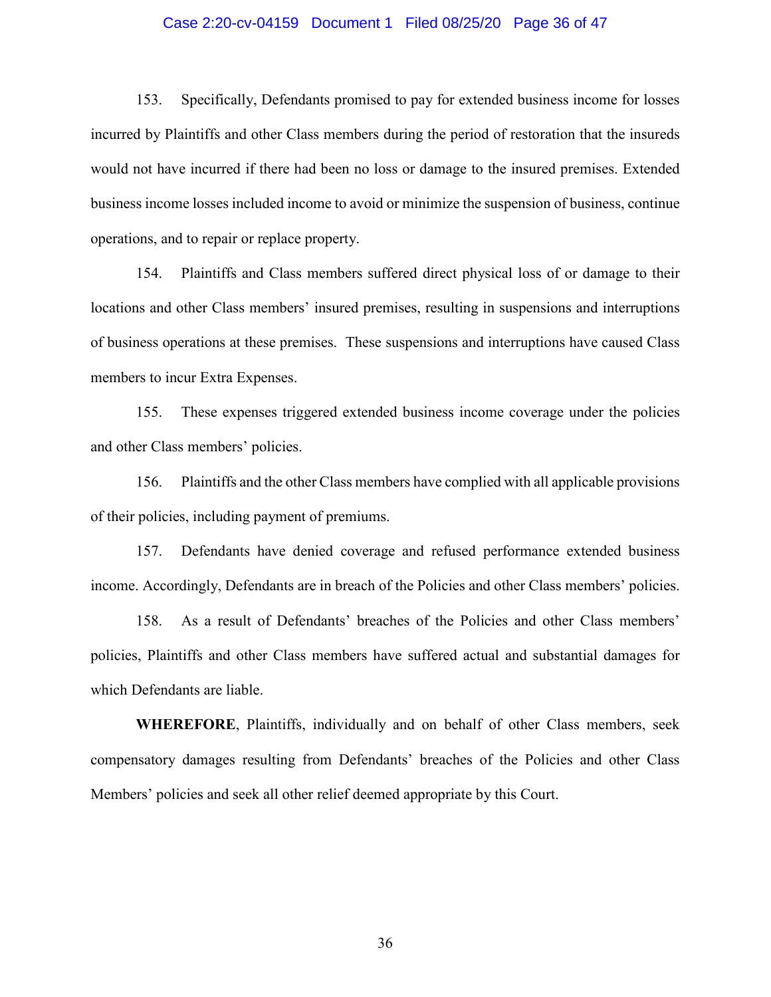#### Case 2:20-cv-04159 Document 1 Filed 08/25/20 Page 36 of 47

153. Specifically, Defendants promised to pay for extended business income for losses incurred by Plaintiffs and other Class members during the period of restoration that the insureds would not have incurred if there had been no loss or damage to the insured premises. Extended business income losses included income to avoid or minimize the suspension of business, continue operations, and to repair or replace property.

154. Plaintiffs and Class members suffered direct physical loss of or damage to their locations and other Class members' insured premises, resulting in suspensions and interruptions of business operations at these premises. These suspensions and interruptions have caused Class members to incur Extra Expenses.

155. These expenses triggered extended business income coverage under the policies and other Class members' policies.

156. Plaintiffs and the other Class members have complied with all applicable provisions of their policies, including payment of premiums.

157. Defendants have denied coverage and refused performance extended business income. Accordingly, Defendants are in breach of the Policies and other Class members' policies.

158. As a result of Defendants' breaches of the Policies and other Class members' policies, Plaintiffs and other Class members have suffered actual and substantial damages for which Defendants are liable.

**WHEREFORE**, Plaintiffs, individually and on behalf of other Class members, seek compensatory damages resulting from Defendants' breaches of the Policies and other Class Members' policies and seek all other relief deemed appropriate by this Court.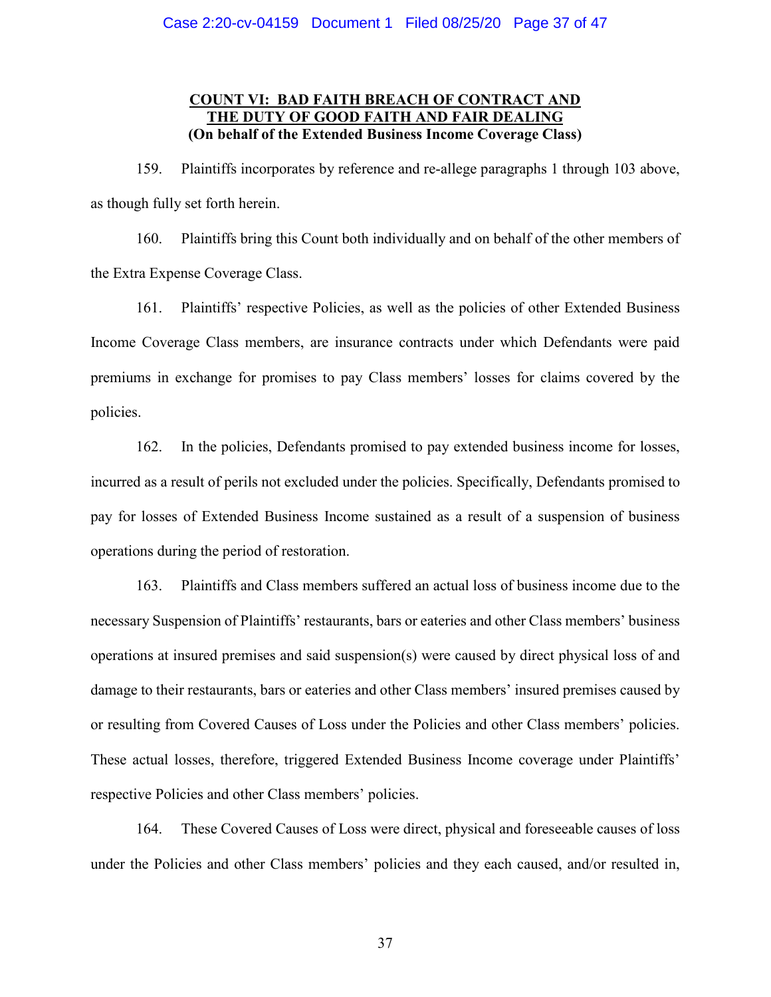# **COUNT VI: BAD FAITH BREACH OF CONTRACT AND THE DUTY OF GOOD FAITH AND FAIR DEALING (On behalf of the Extended Business Income Coverage Class)**

159. Plaintiffs incorporates by reference and re-allege paragraphs 1 through 103 above, as though fully set forth herein.

160. Plaintiffs bring this Count both individually and on behalf of the other members of the Extra Expense Coverage Class.

161. Plaintiffs' respective Policies, as well as the policies of other Extended Business Income Coverage Class members, are insurance contracts under which Defendants were paid premiums in exchange for promises to pay Class members' losses for claims covered by the policies.

162. In the policies, Defendants promised to pay extended business income for losses, incurred as a result of perils not excluded under the policies. Specifically, Defendants promised to pay for losses of Extended Business Income sustained as a result of a suspension of business operations during the period of restoration.

163. Plaintiffs and Class members suffered an actual loss of business income due to the necessary Suspension of Plaintiffs' restaurants, bars or eateries and other Class members' business operations at insured premises and said suspension(s) were caused by direct physical loss of and damage to their restaurants, bars or eateries and other Class members' insured premises caused by or resulting from Covered Causes of Loss under the Policies and other Class members' policies. These actual losses, therefore, triggered Extended Business Income coverage under Plaintiffs' respective Policies and other Class members' policies.

164. These Covered Causes of Loss were direct, physical and foreseeable causes of loss under the Policies and other Class members' policies and they each caused, and/or resulted in,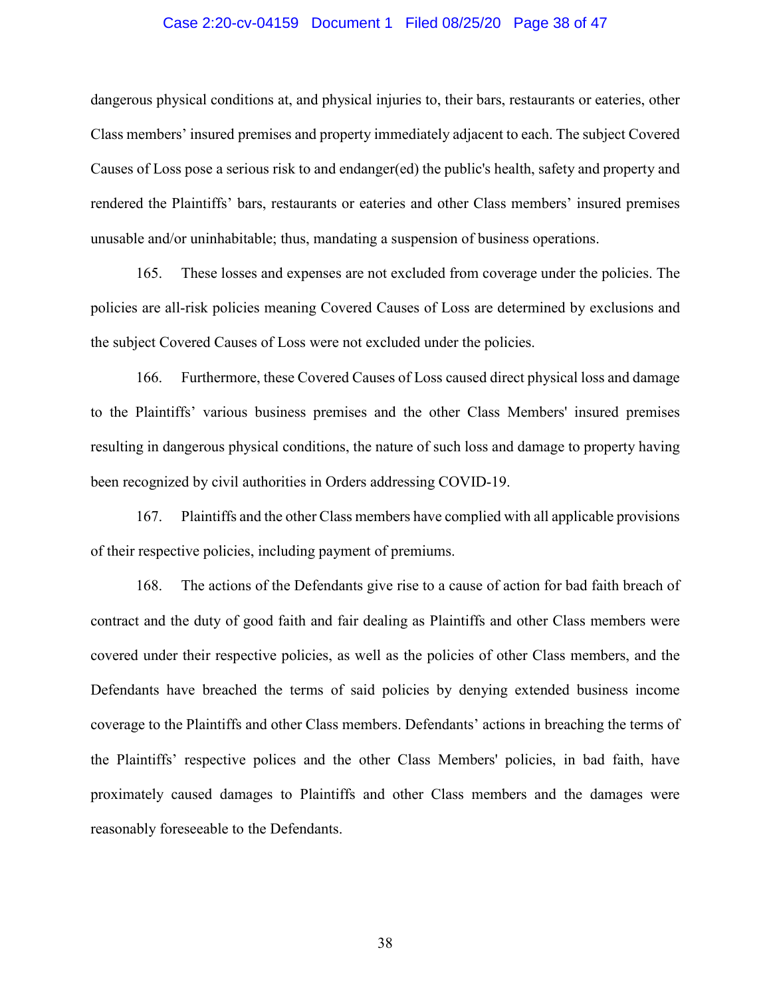#### Case 2:20-cv-04159 Document 1 Filed 08/25/20 Page 38 of 47

dangerous physical conditions at, and physical injuries to, their bars, restaurants or eateries, other Class members' insured premises and property immediately adjacent to each. The subject Covered Causes of Loss pose a serious risk to and endanger(ed) the public's health, safety and property and rendered the Plaintiffs' bars, restaurants or eateries and other Class members' insured premises unusable and/or uninhabitable; thus, mandating a suspension of business operations.

165. These losses and expenses are not excluded from coverage under the policies. The policies are all-risk policies meaning Covered Causes of Loss are determined by exclusions and the subject Covered Causes of Loss were not excluded under the policies.

166. Furthermore, these Covered Causes of Loss caused direct physical loss and damage to the Plaintiffs' various business premises and the other Class Members' insured premises resulting in dangerous physical conditions, the nature of such loss and damage to property having been recognized by civil authorities in Orders addressing COVID-19.

167. Plaintiffs and the other Class members have complied with all applicable provisions of their respective policies, including payment of premiums.

168. The actions of the Defendants give rise to a cause of action for bad faith breach of contract and the duty of good faith and fair dealing as Plaintiffs and other Class members were covered under their respective policies, as well as the policies of other Class members, and the Defendants have breached the terms of said policies by denying extended business income coverage to the Plaintiffs and other Class members. Defendants' actions in breaching the terms of the Plaintiffs' respective polices and the other Class Members' policies, in bad faith, have proximately caused damages to Plaintiffs and other Class members and the damages were reasonably foreseeable to the Defendants.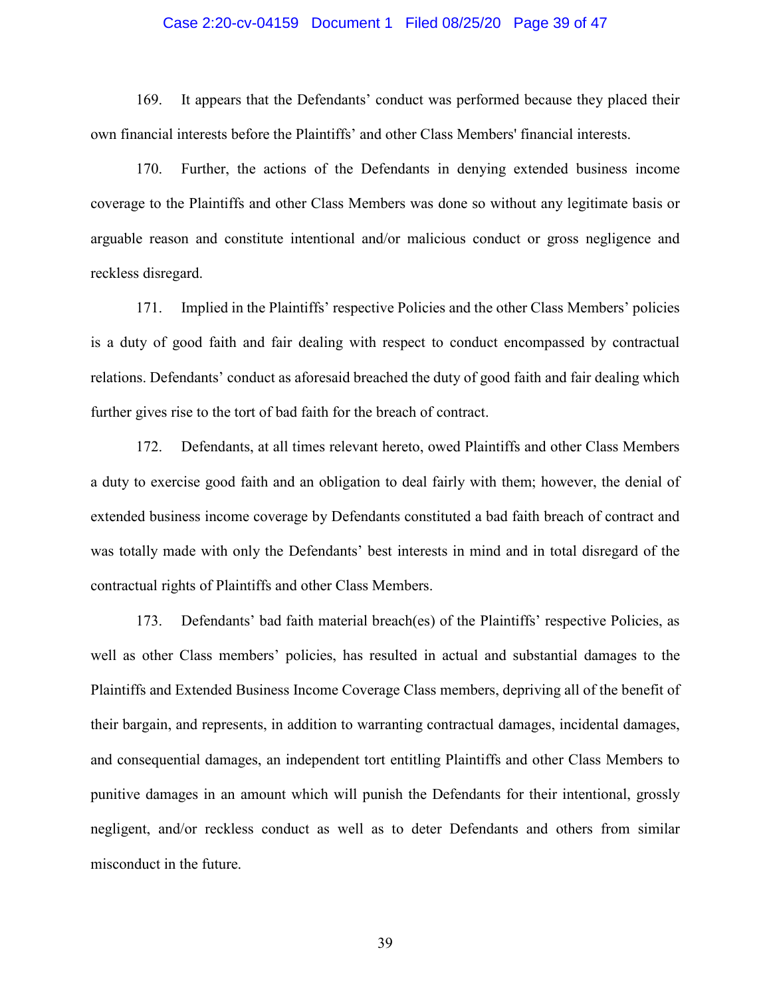#### Case 2:20-cv-04159 Document 1 Filed 08/25/20 Page 39 of 47

169. It appears that the Defendants' conduct was performed because they placed their own financial interests before the Plaintiffs' and other Class Members' financial interests.

170. Further, the actions of the Defendants in denying extended business income coverage to the Plaintiffs and other Class Members was done so without any legitimate basis or arguable reason and constitute intentional and/or malicious conduct or gross negligence and reckless disregard.

171. Implied in the Plaintiffs' respective Policies and the other Class Members' policies is a duty of good faith and fair dealing with respect to conduct encompassed by contractual relations. Defendants' conduct as aforesaid breached the duty of good faith and fair dealing which further gives rise to the tort of bad faith for the breach of contract.

172. Defendants, at all times relevant hereto, owed Plaintiffs and other Class Members a duty to exercise good faith and an obligation to deal fairly with them; however, the denial of extended business income coverage by Defendants constituted a bad faith breach of contract and was totally made with only the Defendants' best interests in mind and in total disregard of the contractual rights of Plaintiffs and other Class Members.

173. Defendants' bad faith material breach(es) of the Plaintiffs' respective Policies, as well as other Class members' policies, has resulted in actual and substantial damages to the Plaintiffs and Extended Business Income Coverage Class members, depriving all of the benefit of their bargain, and represents, in addition to warranting contractual damages, incidental damages, and consequential damages, an independent tort entitling Plaintiffs and other Class Members to punitive damages in an amount which will punish the Defendants for their intentional, grossly negligent, and/or reckless conduct as well as to deter Defendants and others from similar misconduct in the future.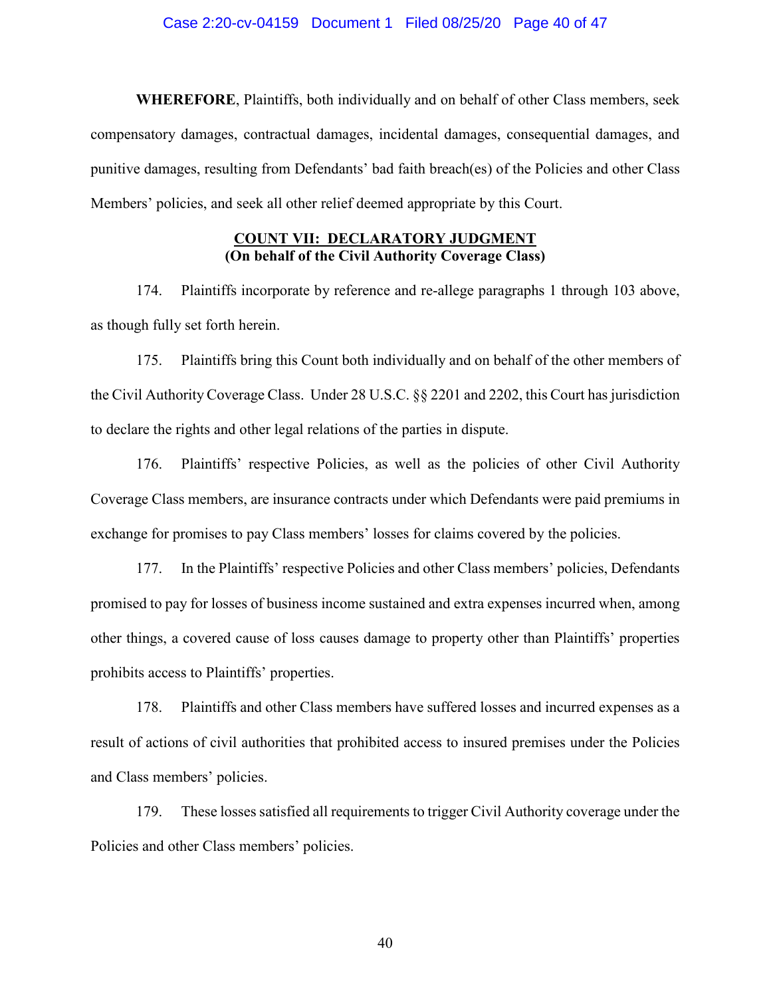#### Case 2:20-cv-04159 Document 1 Filed 08/25/20 Page 40 of 47

**WHEREFORE**, Plaintiffs, both individually and on behalf of other Class members, seek compensatory damages, contractual damages, incidental damages, consequential damages, and punitive damages, resulting from Defendants' bad faith breach(es) of the Policies and other Class Members' policies, and seek all other relief deemed appropriate by this Court.

# **COUNT VII: DECLARATORY JUDGMENT (On behalf of the Civil Authority Coverage Class)**

174. Plaintiffs incorporate by reference and re-allege paragraphs 1 through 103 above, as though fully set forth herein.

175. Plaintiffs bring this Count both individually and on behalf of the other members of the Civil Authority Coverage Class. Under 28 U.S.C. §§ 2201 and 2202, this Court has jurisdiction to declare the rights and other legal relations of the parties in dispute.

176. Plaintiffs' respective Policies, as well as the policies of other Civil Authority Coverage Class members, are insurance contracts under which Defendants were paid premiums in exchange for promises to pay Class members' losses for claims covered by the policies.

177. In the Plaintiffs' respective Policies and other Class members' policies, Defendants promised to pay for losses of business income sustained and extra expenses incurred when, among other things, a covered cause of loss causes damage to property other than Plaintiffs' properties prohibits access to Plaintiffs' properties.

178. Plaintiffs and other Class members have suffered losses and incurred expenses as a result of actions of civil authorities that prohibited access to insured premises under the Policies and Class members' policies.

179. These losses satisfied all requirements to trigger Civil Authority coverage under the Policies and other Class members' policies.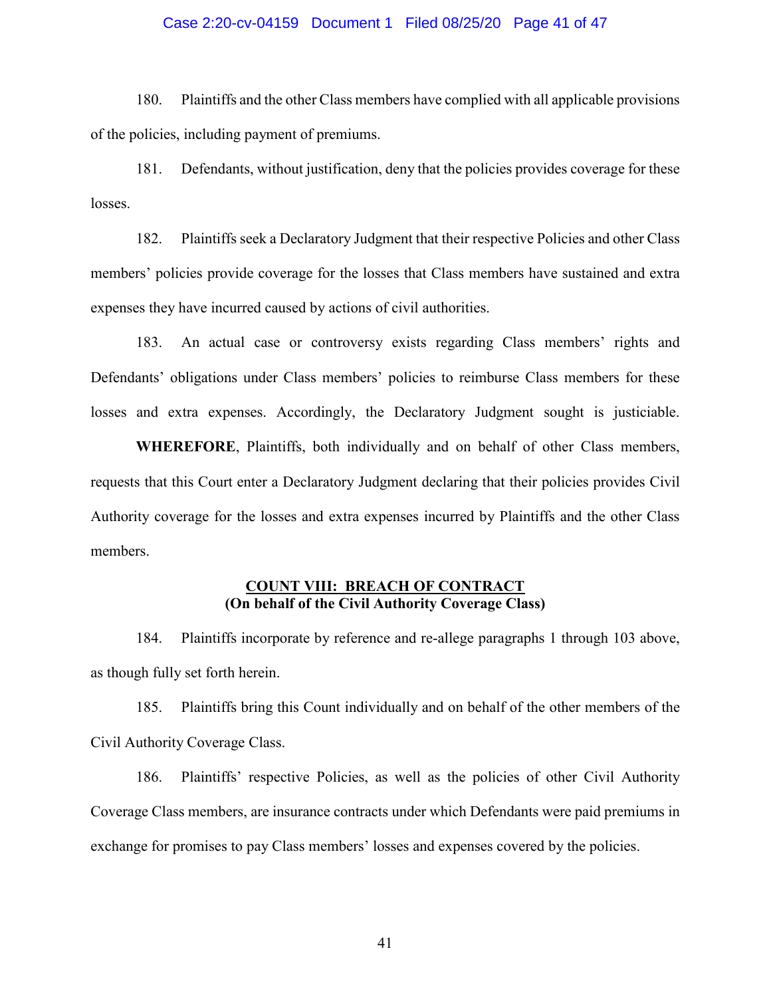### Case 2:20-cv-04159 Document 1 Filed 08/25/20 Page 41 of 47

180. Plaintiffs and the other Class members have complied with all applicable provisions of the policies, including payment of premiums.

181. Defendants, without justification, deny that the policies provides coverage for these losses.

182. Plaintiffs seek a Declaratory Judgment that their respective Policies and other Class members' policies provide coverage for the losses that Class members have sustained and extra expenses they have incurred caused by actions of civil authorities.

183. An actual case or controversy exists regarding Class members' rights and Defendants' obligations under Class members' policies to reimburse Class members for these losses and extra expenses. Accordingly, the Declaratory Judgment sought is justiciable.

**WHEREFORE**, Plaintiffs, both individually and on behalf of other Class members, requests that this Court enter a Declaratory Judgment declaring that their policies provides Civil Authority coverage for the losses and extra expenses incurred by Plaintiffs and the other Class members.

### **COUNT VIII: BREACH OF CONTRACT (On behalf of the Civil Authority Coverage Class)**

184. Plaintiffs incorporate by reference and re-allege paragraphs 1 through 103 above, as though fully set forth herein.

185. Plaintiffs bring this Count individually and on behalf of the other members of the Civil Authority Coverage Class.

186. Plaintiffs' respective Policies, as well as the policies of other Civil Authority Coverage Class members, are insurance contracts under which Defendants were paid premiums in exchange for promises to pay Class members' losses and expenses covered by the policies.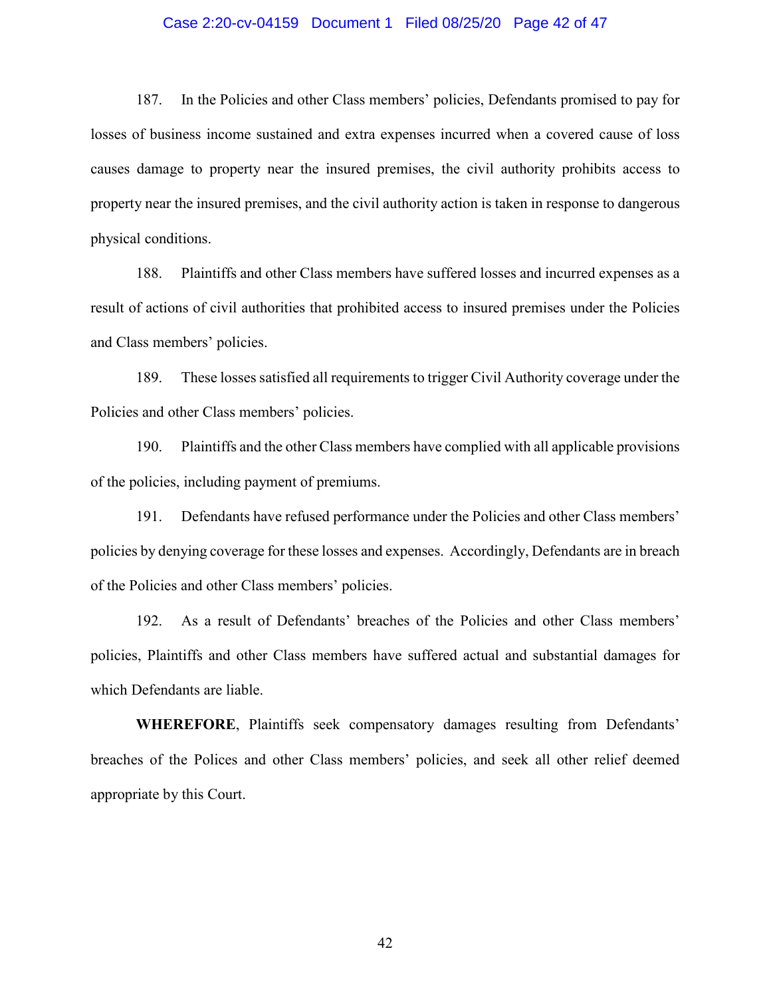#### Case 2:20-cv-04159 Document 1 Filed 08/25/20 Page 42 of 47

187. In the Policies and other Class members' policies, Defendants promised to pay for losses of business income sustained and extra expenses incurred when a covered cause of loss causes damage to property near the insured premises, the civil authority prohibits access to property near the insured premises, and the civil authority action is taken in response to dangerous physical conditions.

188. Plaintiffs and other Class members have suffered losses and incurred expenses as a result of actions of civil authorities that prohibited access to insured premises under the Policies and Class members' policies.

189. These losses satisfied all requirements to trigger Civil Authority coverage under the Policies and other Class members' policies.

190. Plaintiffs and the other Class members have complied with all applicable provisions of the policies, including payment of premiums.

191. Defendants have refused performance under the Policies and other Class members' policies by denying coverage for these losses and expenses. Accordingly, Defendants are in breach of the Policies and other Class members' policies.

192. As a result of Defendants' breaches of the Policies and other Class members' policies, Plaintiffs and other Class members have suffered actual and substantial damages for which Defendants are liable.

**WHEREFORE**, Plaintiffs seek compensatory damages resulting from Defendants' breaches of the Polices and other Class members' policies, and seek all other relief deemed appropriate by this Court.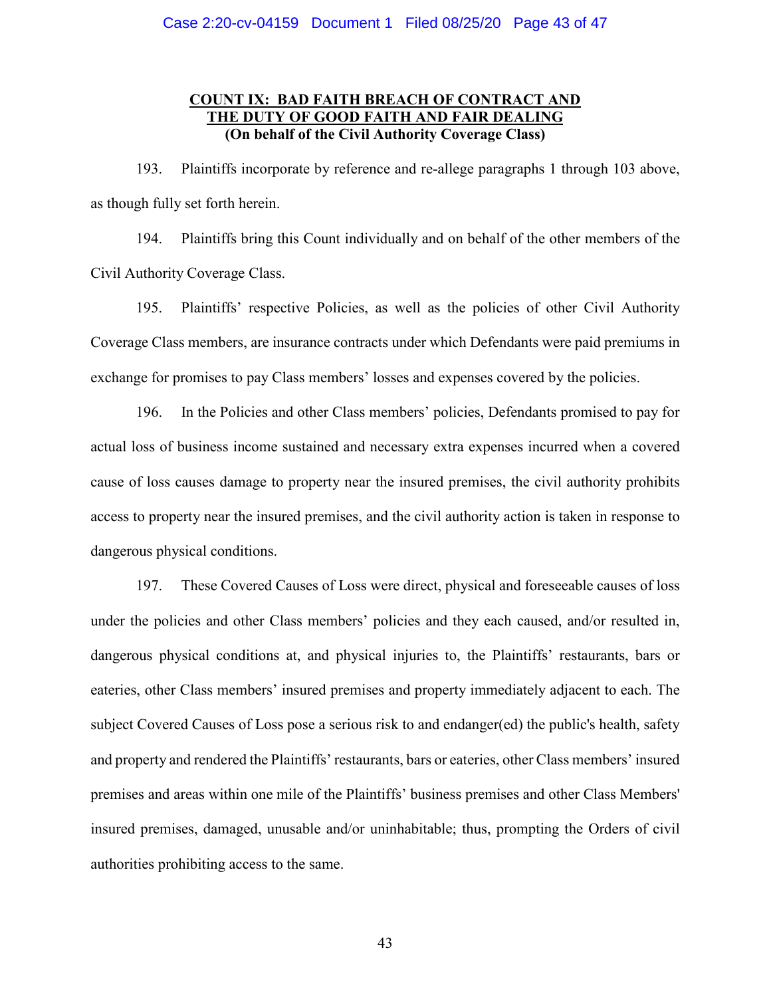# **COUNT IX: BAD FAITH BREACH OF CONTRACT AND THE DUTY OF GOOD FAITH AND FAIR DEALING (On behalf of the Civil Authority Coverage Class)**

193. Plaintiffs incorporate by reference and re-allege paragraphs 1 through 103 above, as though fully set forth herein.

194. Plaintiffs bring this Count individually and on behalf of the other members of the Civil Authority Coverage Class.

195. Plaintiffs' respective Policies, as well as the policies of other Civil Authority Coverage Class members, are insurance contracts under which Defendants were paid premiums in exchange for promises to pay Class members' losses and expenses covered by the policies.

196. In the Policies and other Class members' policies, Defendants promised to pay for actual loss of business income sustained and necessary extra expenses incurred when a covered cause of loss causes damage to property near the insured premises, the civil authority prohibits access to property near the insured premises, and the civil authority action is taken in response to dangerous physical conditions.

197. These Covered Causes of Loss were direct, physical and foreseeable causes of loss under the policies and other Class members' policies and they each caused, and/or resulted in, dangerous physical conditions at, and physical injuries to, the Plaintiffs' restaurants, bars or eateries, other Class members' insured premises and property immediately adjacent to each. The subject Covered Causes of Loss pose a serious risk to and endanger(ed) the public's health, safety and property and rendered the Plaintiffs' restaurants, bars or eateries, other Class members' insured premises and areas within one mile of the Plaintiffs' business premises and other Class Members' insured premises, damaged, unusable and/or uninhabitable; thus, prompting the Orders of civil authorities prohibiting access to the same.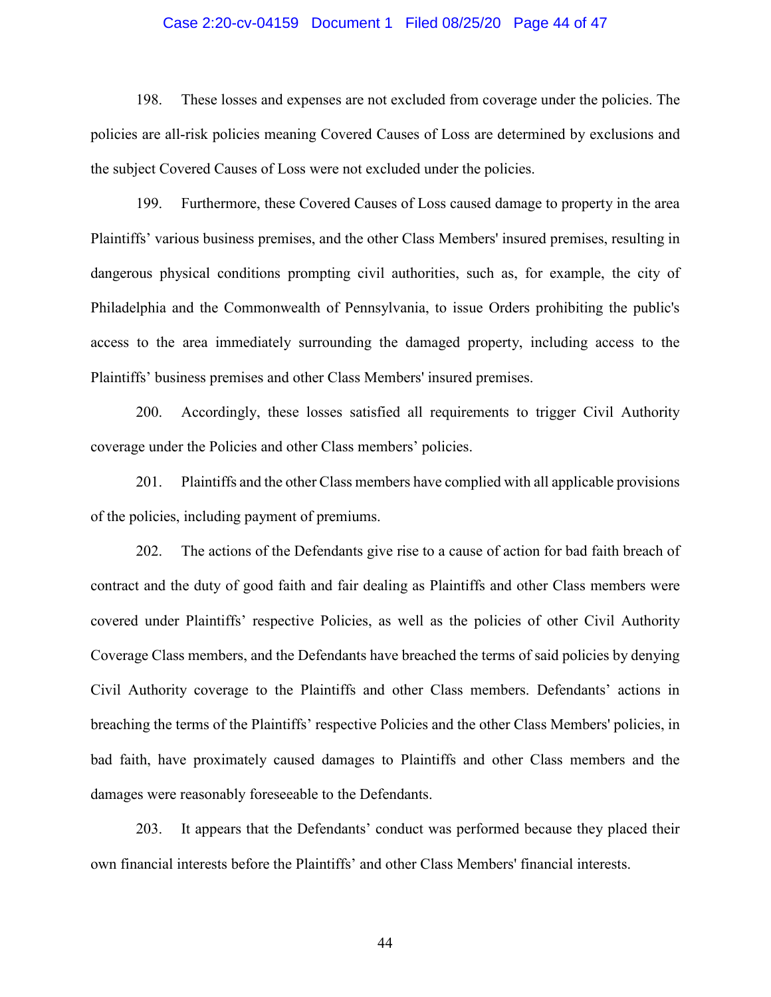#### Case 2:20-cv-04159 Document 1 Filed 08/25/20 Page 44 of 47

198. These losses and expenses are not excluded from coverage under the policies. The policies are all-risk policies meaning Covered Causes of Loss are determined by exclusions and the subject Covered Causes of Loss were not excluded under the policies.

199. Furthermore, these Covered Causes of Loss caused damage to property in the area Plaintiffs' various business premises, and the other Class Members' insured premises, resulting in dangerous physical conditions prompting civil authorities, such as, for example, the city of Philadelphia and the Commonwealth of Pennsylvania, to issue Orders prohibiting the public's access to the area immediately surrounding the damaged property, including access to the Plaintiffs' business premises and other Class Members' insured premises.

200. Accordingly, these losses satisfied all requirements to trigger Civil Authority coverage under the Policies and other Class members' policies.

201. Plaintiffs and the other Class members have complied with all applicable provisions of the policies, including payment of premiums.

202. The actions of the Defendants give rise to a cause of action for bad faith breach of contract and the duty of good faith and fair dealing as Plaintiffs and other Class members were covered under Plaintiffs' respective Policies, as well as the policies of other Civil Authority Coverage Class members, and the Defendants have breached the terms of said policies by denying Civil Authority coverage to the Plaintiffs and other Class members. Defendants' actions in breaching the terms of the Plaintiffs' respective Policies and the other Class Members' policies, in bad faith, have proximately caused damages to Plaintiffs and other Class members and the damages were reasonably foreseeable to the Defendants.

203. It appears that the Defendants' conduct was performed because they placed their own financial interests before the Plaintiffs' and other Class Members' financial interests.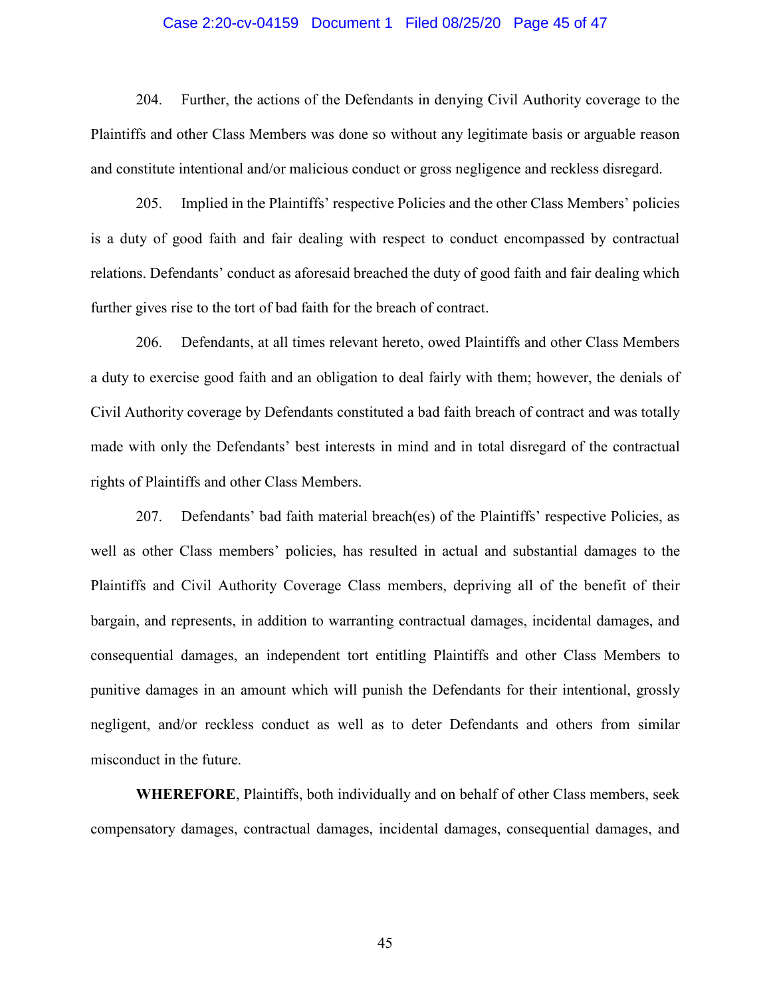#### Case 2:20-cv-04159 Document 1 Filed 08/25/20 Page 45 of 47

204. Further, the actions of the Defendants in denying Civil Authority coverage to the Plaintiffs and other Class Members was done so without any legitimate basis or arguable reason and constitute intentional and/or malicious conduct or gross negligence and reckless disregard.

205. Implied in the Plaintiffs' respective Policies and the other Class Members' policies is a duty of good faith and fair dealing with respect to conduct encompassed by contractual relations. Defendants' conduct as aforesaid breached the duty of good faith and fair dealing which further gives rise to the tort of bad faith for the breach of contract.

206. Defendants, at all times relevant hereto, owed Plaintiffs and other Class Members a duty to exercise good faith and an obligation to deal fairly with them; however, the denials of Civil Authority coverage by Defendants constituted a bad faith breach of contract and was totally made with only the Defendants' best interests in mind and in total disregard of the contractual rights of Plaintiffs and other Class Members.

207. Defendants' bad faith material breach(es) of the Plaintiffs' respective Policies, as well as other Class members' policies, has resulted in actual and substantial damages to the Plaintiffs and Civil Authority Coverage Class members, depriving all of the benefit of their bargain, and represents, in addition to warranting contractual damages, incidental damages, and consequential damages, an independent tort entitling Plaintiffs and other Class Members to punitive damages in an amount which will punish the Defendants for their intentional, grossly negligent, and/or reckless conduct as well as to deter Defendants and others from similar misconduct in the future.

**WHEREFORE**, Plaintiffs, both individually and on behalf of other Class members, seek compensatory damages, contractual damages, incidental damages, consequential damages, and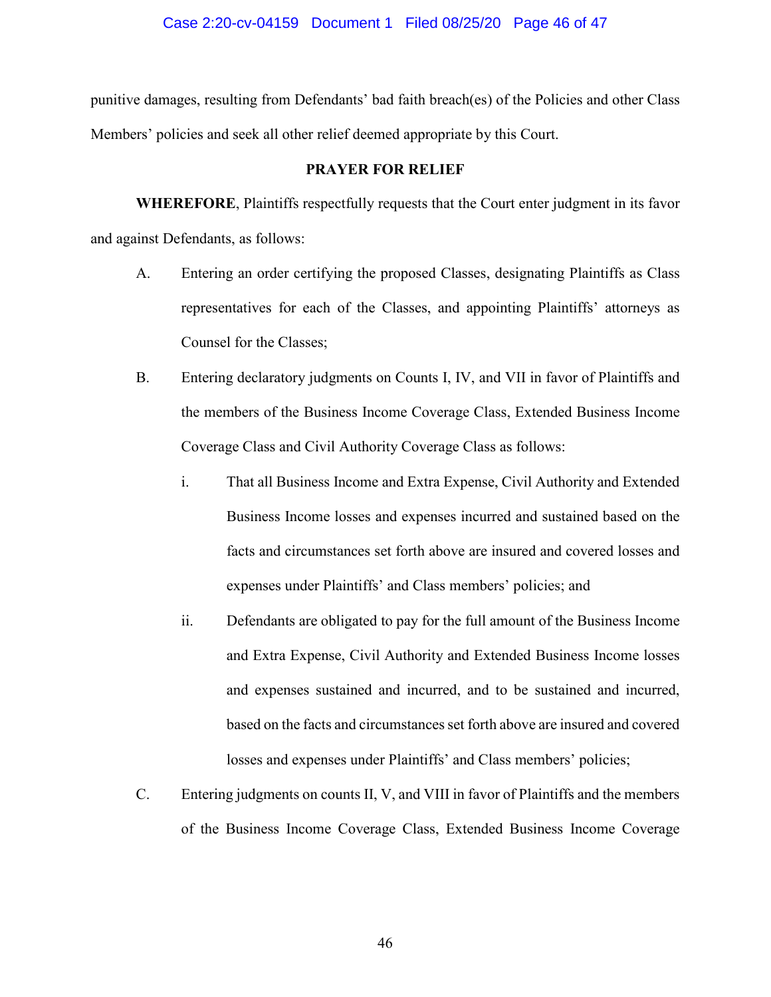punitive damages, resulting from Defendants' bad faith breach(es) of the Policies and other Class Members' policies and seek all other relief deemed appropriate by this Court.

# **PRAYER FOR RELIEF**

**WHEREFORE**, Plaintiffs respectfully requests that the Court enter judgment in its favor and against Defendants, as follows:

- A. Entering an order certifying the proposed Classes, designating Plaintiffs as Class representatives for each of the Classes, and appointing Plaintiffs' attorneys as Counsel for the Classes;
- B. Entering declaratory judgments on Counts I, IV, and VII in favor of Plaintiffs and the members of the Business Income Coverage Class, Extended Business Income Coverage Class and Civil Authority Coverage Class as follows:
	- i. That all Business Income and Extra Expense, Civil Authority and Extended Business Income losses and expenses incurred and sustained based on the facts and circumstances set forth above are insured and covered losses and expenses under Plaintiffs' and Class members' policies; and
	- ii. Defendants are obligated to pay for the full amount of the Business Income and Extra Expense, Civil Authority and Extended Business Income losses and expenses sustained and incurred, and to be sustained and incurred, based on the facts and circumstances set forth above are insured and covered losses and expenses under Plaintiffs' and Class members' policies;
- C. Entering judgments on counts II, V, and VIII in favor of Plaintiffs and the members of the Business Income Coverage Class, Extended Business Income Coverage